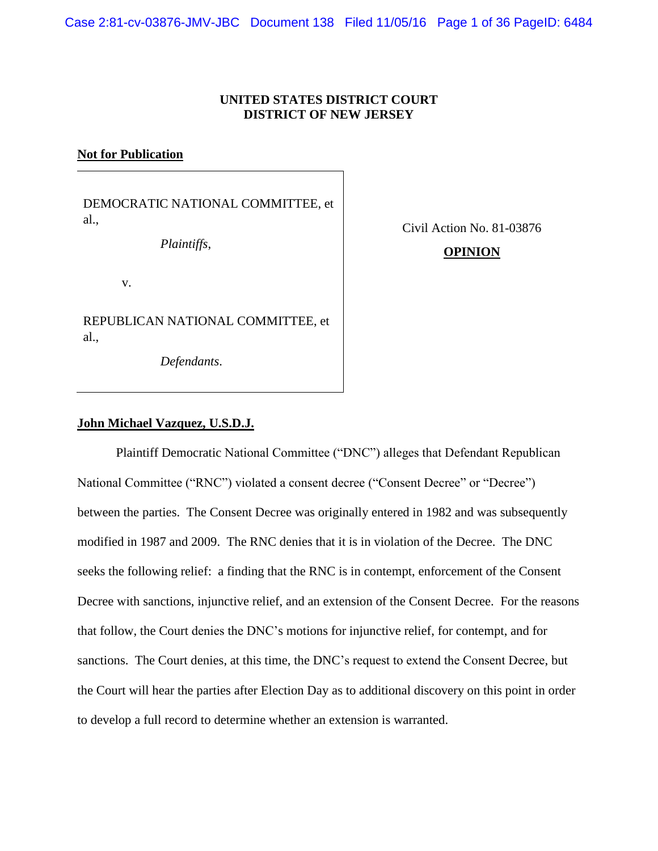Case 2:81-cv-03876-JMV-JBC Document 138 Filed 11/05/16 Page 1 of 36 PageID: 6484

## **UNITED STATES DISTRICT COURT DISTRICT OF NEW JERSEY**

### **Not for Publication**

DEMOCRATIC NATIONAL COMMITTEE, et al.,

*Plaintiffs*,

Civil Action No. 81-03876

#### v.

REPUBLICAN NATIONAL COMMITTEE, et al.,

*Defendants*.

# **OPINION**

## **John Michael Vazquez, U.S.D.J.**

Plaintiff Democratic National Committee ("DNC") alleges that Defendant Republican National Committee ("RNC") violated a consent decree ("Consent Decree" or "Decree") between the parties. The Consent Decree was originally entered in 1982 and was subsequently modified in 1987 and 2009. The RNC denies that it is in violation of the Decree. The DNC seeks the following relief: a finding that the RNC is in contempt, enforcement of the Consent Decree with sanctions, injunctive relief, and an extension of the Consent Decree. For the reasons that follow, the Court denies the DNC's motions for injunctive relief, for contempt, and for sanctions. The Court denies, at this time, the DNC's request to extend the Consent Decree, but the Court will hear the parties after Election Day as to additional discovery on this point in order to develop a full record to determine whether an extension is warranted.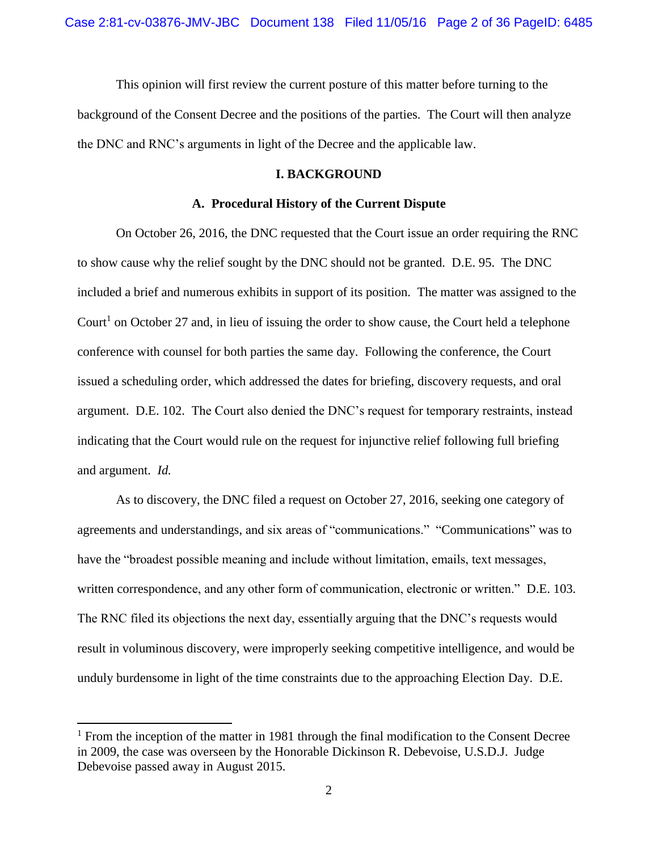This opinion will first review the current posture of this matter before turning to the background of the Consent Decree and the positions of the parties. The Court will then analyze the DNC and RNC's arguments in light of the Decree and the applicable law.

### **I. BACKGROUND**

#### **A. Procedural History of the Current Dispute**

On October 26, 2016, the DNC requested that the Court issue an order requiring the RNC to show cause why the relief sought by the DNC should not be granted. D.E. 95. The DNC included a brief and numerous exhibits in support of its position. The matter was assigned to the Court<sup>1</sup> on October 27 and, in lieu of issuing the order to show cause, the Court held a telephone conference with counsel for both parties the same day. Following the conference, the Court issued a scheduling order, which addressed the dates for briefing, discovery requests, and oral argument. D.E. 102. The Court also denied the DNC's request for temporary restraints, instead indicating that the Court would rule on the request for injunctive relief following full briefing and argument. *Id.*

As to discovery, the DNC filed a request on October 27, 2016, seeking one category of agreements and understandings, and six areas of "communications." "Communications" was to have the "broadest possible meaning and include without limitation, emails, text messages, written correspondence, and any other form of communication, electronic or written." D.E. 103. The RNC filed its objections the next day, essentially arguing that the DNC's requests would result in voluminous discovery, were improperly seeking competitive intelligence, and would be unduly burdensome in light of the time constraints due to the approaching Election Day. D.E.

 $1$  From the inception of the matter in 1981 through the final modification to the Consent Decree in 2009, the case was overseen by the Honorable Dickinson R. Debevoise, U.S.D.J. Judge Debevoise passed away in August 2015.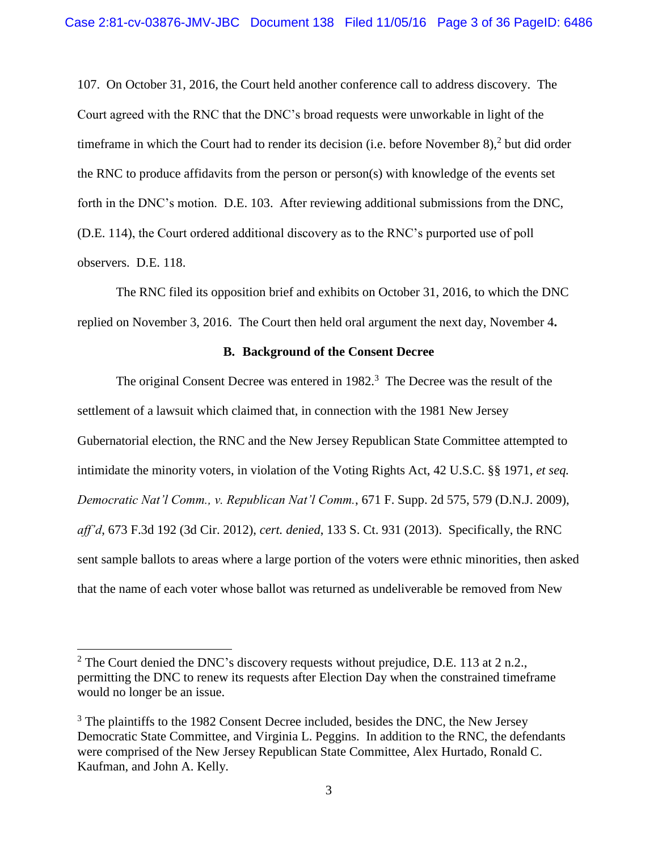107. On October 31, 2016, the Court held another conference call to address discovery. The Court agreed with the RNC that the DNC's broad requests were unworkable in light of the timeframe in which the Court had to render its decision (i.e. before November 8),<sup>2</sup> but did order the RNC to produce affidavits from the person or person(s) with knowledge of the events set forth in the DNC's motion.D.E. 103. After reviewing additional submissions from the DNC, (D.E. 114), the Court ordered additional discovery as to the RNC's purported use of poll observers. D.E. 118.

The RNC filed its opposition brief and exhibits on October 31, 2016, to which the DNC replied on November 3, 2016. The Court then held oral argument the next day, November 4**.**

### **B. Background of the Consent Decree**

The original Consent Decree was entered in 1982.<sup>3</sup> The Decree was the result of the settlement of a lawsuit which claimed that, in connection with the 1981 New Jersey Gubernatorial election, the RNC and the New Jersey Republican State Committee attempted to intimidate the minority voters, in violation of the Voting Rights Act, 42 U.S.C. §§ 1971, *et seq. Democratic Nat'l Comm., v. Republican Nat'l Comm.*, 671 F. Supp. 2d 575, 579 (D.N.J. 2009), *aff'd*, 673 F.3d 192 (3d Cir. 2012), *cert. denied*, 133 S. Ct. 931 (2013). Specifically, the RNC sent sample ballots to areas where a large portion of the voters were ethnic minorities, then asked that the name of each voter whose ballot was returned as undeliverable be removed from New

<sup>&</sup>lt;sup>2</sup> The Court denied the DNC's discovery requests without prejudice, D.E. 113 at 2 n.2., permitting the DNC to renew its requests after Election Day when the constrained timeframe would no longer be an issue.

<sup>&</sup>lt;sup>3</sup> The plaintiffs to the 1982 Consent Decree included, besides the DNC, the New Jersey Democratic State Committee, and Virginia L. Peggins. In addition to the RNC, the defendants were comprised of the New Jersey Republican State Committee, Alex Hurtado, Ronald C. Kaufman, and John A. Kelly.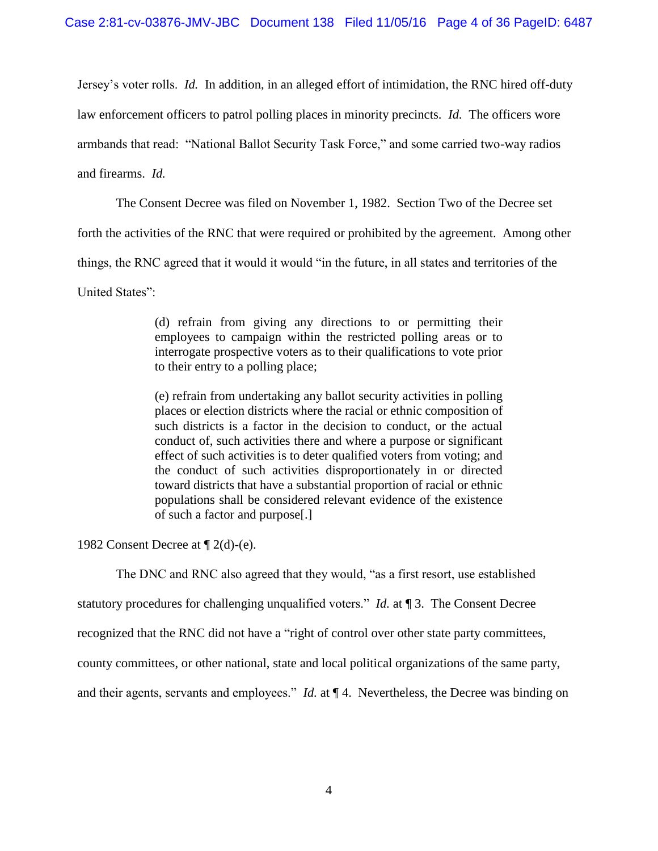Jersey's voter rolls. *Id.* In addition, in an alleged effort of intimidation, the RNC hired off-duty law enforcement officers to patrol polling places in minority precincts. *Id.* The officers wore armbands that read: "National Ballot Security Task Force," and some carried two-way radios and firearms. *Id.*

The Consent Decree was filed on November 1, 1982. Section Two of the Decree set

forth the activities of the RNC that were required or prohibited by the agreement. Among other

things, the RNC agreed that it would it would "in the future, in all states and territories of the

United States":

(d) refrain from giving any directions to or permitting their employees to campaign within the restricted polling areas or to interrogate prospective voters as to their qualifications to vote prior to their entry to a polling place;

(e) refrain from undertaking any ballot security activities in polling places or election districts where the racial or ethnic composition of such districts is a factor in the decision to conduct, or the actual conduct of, such activities there and where a purpose or significant effect of such activities is to deter qualified voters from voting; and the conduct of such activities disproportionately in or directed toward districts that have a substantial proportion of racial or ethnic populations shall be considered relevant evidence of the existence of such a factor and purpose[.]

1982 Consent Decree at ¶ 2(d)-(e).

The DNC and RNC also agreed that they would, "as a first resort, use established

statutory procedures for challenging unqualified voters." *Id.* at ¶ 3. The Consent Decree

recognized that the RNC did not have a "right of control over other state party committees,

county committees, or other national, state and local political organizations of the same party,

and their agents, servants and employees." *Id.* at ¶ 4. Nevertheless, the Decree was binding on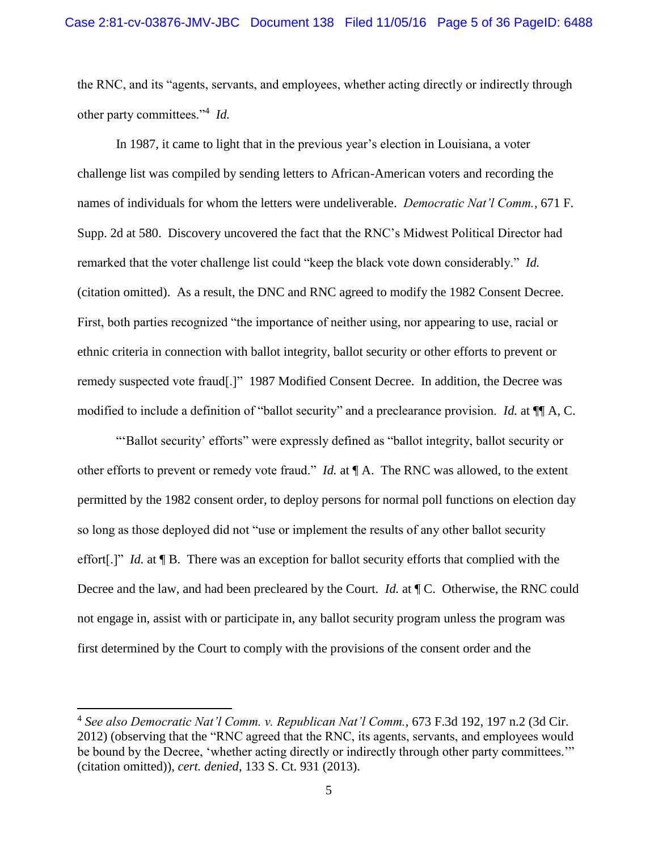the RNC, and its "agents, servants, and employees, whether acting directly or indirectly through other party committees."<sup>4</sup> *Id.*

In 1987, it came to light that in the previous year's election in Louisiana, a voter challenge list was compiled by sending letters to African-American voters and recording the names of individuals for whom the letters were undeliverable. *Democratic Nat'l Comm.*, 671 F. Supp. 2d at 580. Discovery uncovered the fact that the RNC's Midwest Political Director had remarked that the voter challenge list could "keep the black vote down considerably." *Id.* (citation omitted). As a result, the DNC and RNC agreed to modify the 1982 Consent Decree. First, both parties recognized "the importance of neither using, nor appearing to use, racial or ethnic criteria in connection with ballot integrity, ballot security or other efforts to prevent or remedy suspected vote fraud[.]" 1987 Modified Consent Decree. In addition, the Decree was modified to include a definition of "ballot security" and a preclearance provision. *Id.* at ¶¶ A, C.

"'Ballot security' efforts" were expressly defined as "ballot integrity, ballot security or other efforts to prevent or remedy vote fraud." *Id.* at ¶ A. The RNC was allowed, to the extent permitted by the 1982 consent order, to deploy persons for normal poll functions on election day so long as those deployed did not "use or implement the results of any other ballot security effort[.]" *Id.* at ¶ B.There was an exception for ballot security efforts that complied with the Decree and the law, and had been precleared by the Court. *Id.* at ¶ C. Otherwise, the RNC could not engage in, assist with or participate in, any ballot security program unless the program was first determined by the Court to comply with the provisions of the consent order and the

 $\overline{a}$ 

<sup>4</sup> *See also Democratic Nat'l Comm. v. Republican Nat'l Comm.*, 673 F.3d 192, 197 n.2 (3d Cir. 2012) (observing that the "RNC agreed that the RNC, its agents, servants, and employees would be bound by the Decree, 'whether acting directly or indirectly through other party committees.'" (citation omitted)), *cert. denied*, 133 S. Ct. 931 (2013).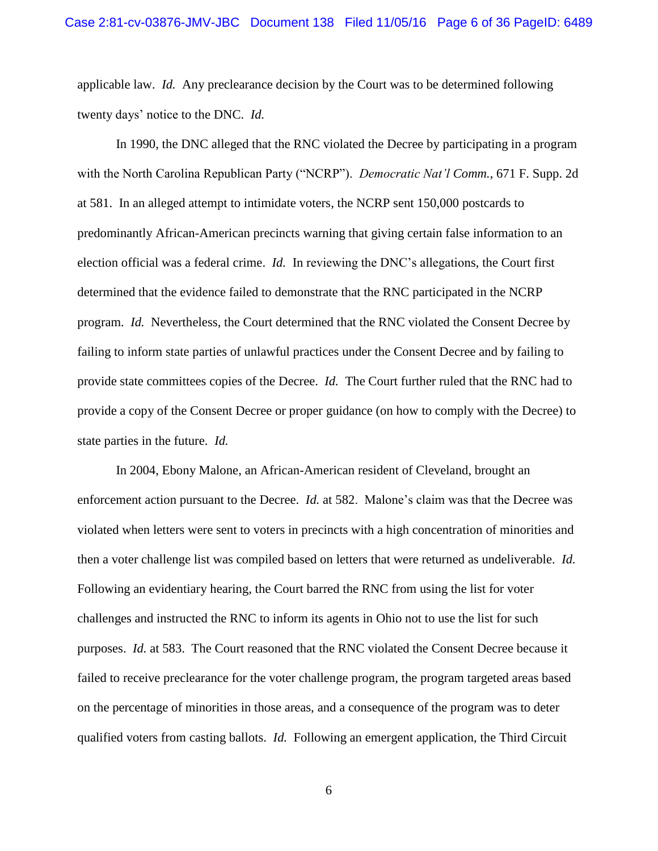applicable law. *Id.* Any preclearance decision by the Court was to be determined following twenty days' notice to the DNC. *Id.* 

In 1990, the DNC alleged that the RNC violated the Decree by participating in a program with the North Carolina Republican Party ("NCRP"). *Democratic Nat'l Comm.*, 671 F. Supp. 2d at 581. In an alleged attempt to intimidate voters, the NCRP sent 150,000 postcards to predominantly African-American precincts warning that giving certain false information to an election official was a federal crime. *Id.* In reviewing the DNC's allegations, the Court first determined that the evidence failed to demonstrate that the RNC participated in the NCRP program. *Id.* Nevertheless, the Court determined that the RNC violated the Consent Decree by failing to inform state parties of unlawful practices under the Consent Decree and by failing to provide state committees copies of the Decree. *Id.* The Court further ruled that the RNC had to provide a copy of the Consent Decree or proper guidance (on how to comply with the Decree) to state parties in the future. *Id.*

In 2004, Ebony Malone, an African-American resident of Cleveland, brought an enforcement action pursuant to the Decree. *Id.* at 582. Malone's claim was that the Decree was violated when letters were sent to voters in precincts with a high concentration of minorities and then a voter challenge list was compiled based on letters that were returned as undeliverable. *Id.* Following an evidentiary hearing, the Court barred the RNC from using the list for voter challenges and instructed the RNC to inform its agents in Ohio not to use the list for such purposes. *Id.* at 583. The Court reasoned that the RNC violated the Consent Decree because it failed to receive preclearance for the voter challenge program, the program targeted areas based on the percentage of minorities in those areas, and a consequence of the program was to deter qualified voters from casting ballots. *Id.* Following an emergent application, the Third Circuit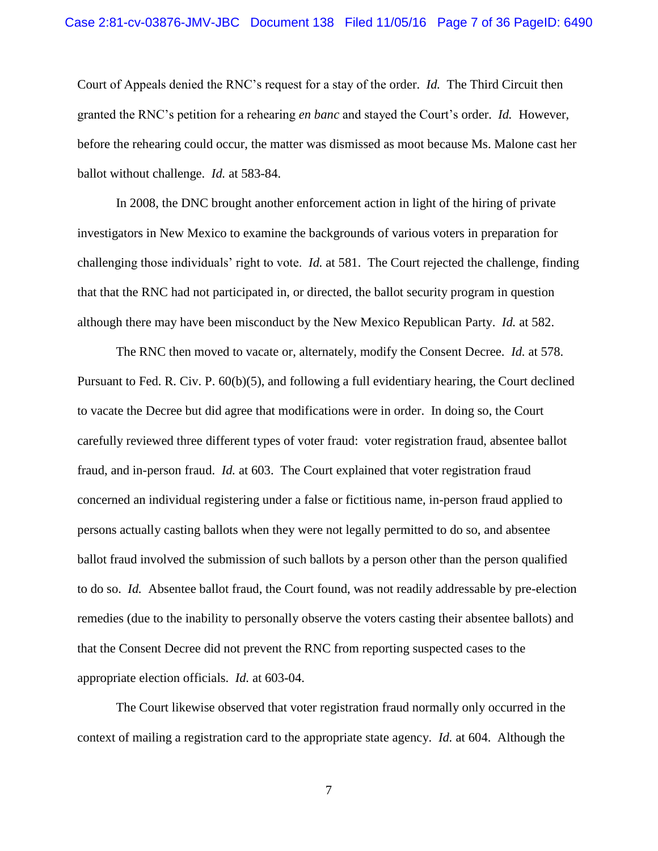#### Case 2:81-cv-03876-JMV-JBC Document 138 Filed 11/05/16 Page 7 of 36 PageID: 6490

Court of Appeals denied the RNC's request for a stay of the order. *Id.* The Third Circuit then granted the RNC's petition for a rehearing *en banc* and stayed the Court's order. *Id.* However, before the rehearing could occur, the matter was dismissed as moot because Ms. Malone cast her ballot without challenge. *Id.* at 583-84.

In 2008, the DNC brought another enforcement action in light of the hiring of private investigators in New Mexico to examine the backgrounds of various voters in preparation for challenging those individuals' right to vote. *Id.* at 581. The Court rejected the challenge, finding that that the RNC had not participated in, or directed, the ballot security program in question although there may have been misconduct by the New Mexico Republican Party. *Id.* at 582.

The RNC then moved to vacate or, alternately, modify the Consent Decree. *Id.* at 578. Pursuant to Fed. R. Civ. P. 60(b)(5), and following a full evidentiary hearing, the Court declined to vacate the Decree but did agree that modifications were in order. In doing so, the Court carefully reviewed three different types of voter fraud: voter registration fraud, absentee ballot fraud, and in-person fraud. *Id.* at 603. The Court explained that voter registration fraud concerned an individual registering under a false or fictitious name, in-person fraud applied to persons actually casting ballots when they were not legally permitted to do so, and absentee ballot fraud involved the submission of such ballots by a person other than the person qualified to do so. *Id.* Absentee ballot fraud, the Court found, was not readily addressable by pre-election remedies (due to the inability to personally observe the voters casting their absentee ballots) and that the Consent Decree did not prevent the RNC from reporting suspected cases to the appropriate election officials. *Id.* at 603-04.

The Court likewise observed that voter registration fraud normally only occurred in the context of mailing a registration card to the appropriate state agency. *Id.* at 604. Although the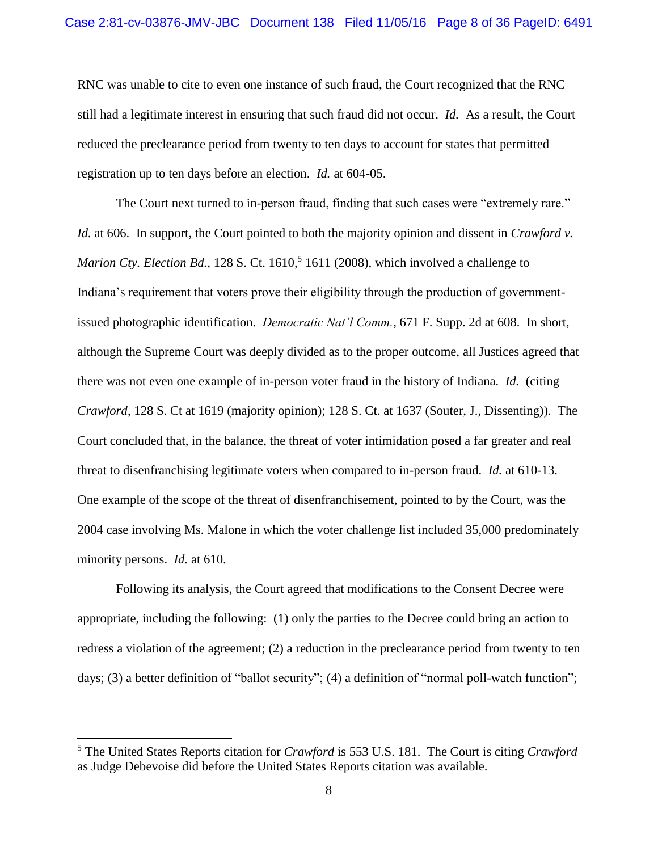RNC was unable to cite to even one instance of such fraud, the Court recognized that the RNC still had a legitimate interest in ensuring that such fraud did not occur. *Id.* As a result, the Court reduced the preclearance period from twenty to ten days to account for states that permitted registration up to ten days before an election. *Id.* at 604-05.

The Court next turned to in-person fraud, finding that such cases were "extremely rare." *Id.* at 606. In support, the Court pointed to both the majority opinion and dissent in *Crawford v.*  Marion Cty. Election Bd., 128 S. Ct. 1610,<sup>5</sup> 1611 (2008), which involved a challenge to Indiana's requirement that voters prove their eligibility through the production of governmentissued photographic identification. *Democratic Nat'l Comm.*, 671 F. Supp. 2d at 608. In short, although the Supreme Court was deeply divided as to the proper outcome, all Justices agreed that there was not even one example of in-person voter fraud in the history of Indiana. *Id.* (citing *Crawford*, 128 S. Ct at 1619 (majority opinion); 128 S. Ct. at 1637 (Souter, J., Dissenting)). The Court concluded that, in the balance, the threat of voter intimidation posed a far greater and real threat to disenfranchising legitimate voters when compared to in-person fraud. *Id.* at 610-13. One example of the scope of the threat of disenfranchisement, pointed to by the Court, was the 2004 case involving Ms. Malone in which the voter challenge list included 35,000 predominately minority persons. *Id.* at 610.

Following its analysis, the Court agreed that modifications to the Consent Decree were appropriate, including the following: (1) only the parties to the Decree could bring an action to redress a violation of the agreement; (2) a reduction in the preclearance period from twenty to ten days; (3) a better definition of "ballot security"; (4) a definition of "normal poll-watch function";

<sup>5</sup> The United States Reports citation for *Crawford* is 553 U.S. 181. The Court is citing *Crawford* as Judge Debevoise did before the United States Reports citation was available.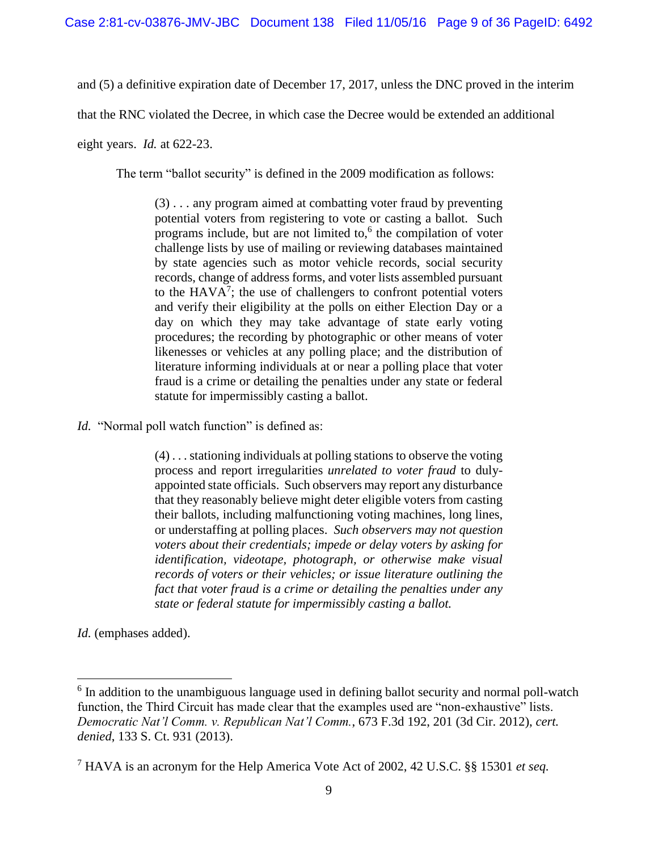and (5) a definitive expiration date of December 17, 2017, unless the DNC proved in the interim

that the RNC violated the Decree, in which case the Decree would be extended an additional

eight years. *Id.* at 622-23.

The term "ballot security" is defined in the 2009 modification as follows:

(3) . . . any program aimed at combatting voter fraud by preventing potential voters from registering to vote or casting a ballot. Such programs include, but are not limited to, $6$  the compilation of voter challenge lists by use of mailing or reviewing databases maintained by state agencies such as motor vehicle records, social security records, change of address forms, and voter lists assembled pursuant to the  $HAVA^7$ ; the use of challengers to confront potential voters and verify their eligibility at the polls on either Election Day or a day on which they may take advantage of state early voting procedures; the recording by photographic or other means of voter likenesses or vehicles at any polling place; and the distribution of literature informing individuals at or near a polling place that voter fraud is a crime or detailing the penalties under any state or federal statute for impermissibly casting a ballot.

*Id.* "Normal poll watch function" is defined as:

(4) . . . stationing individuals at polling stations to observe the voting process and report irregularities *unrelated to voter fraud* to dulyappointed state officials. Such observers may report any disturbance that they reasonably believe might deter eligible voters from casting their ballots, including malfunctioning voting machines, long lines, or understaffing at polling places. *Such observers may not question voters about their credentials; impede or delay voters by asking for identification, videotape, photograph, or otherwise make visual records of voters or their vehicles; or issue literature outlining the fact that voter fraud is a crime or detailing the penalties under any state or federal statute for impermissibly casting a ballot.*

*Id.* (emphases added).

<sup>&</sup>lt;sup>6</sup> In addition to the unambiguous language used in defining ballot security and normal poll-watch function, the Third Circuit has made clear that the examples used are "non-exhaustive" lists. *Democratic Nat'l Comm. v. Republican Nat'l Comm.*, 673 F.3d 192, 201 (3d Cir. 2012), *cert. denied*, 133 S. Ct. 931 (2013).

<sup>7</sup> HAVA is an acronym for the Help America Vote Act of 2002, 42 U.S.C. §§ 15301 *et seq.*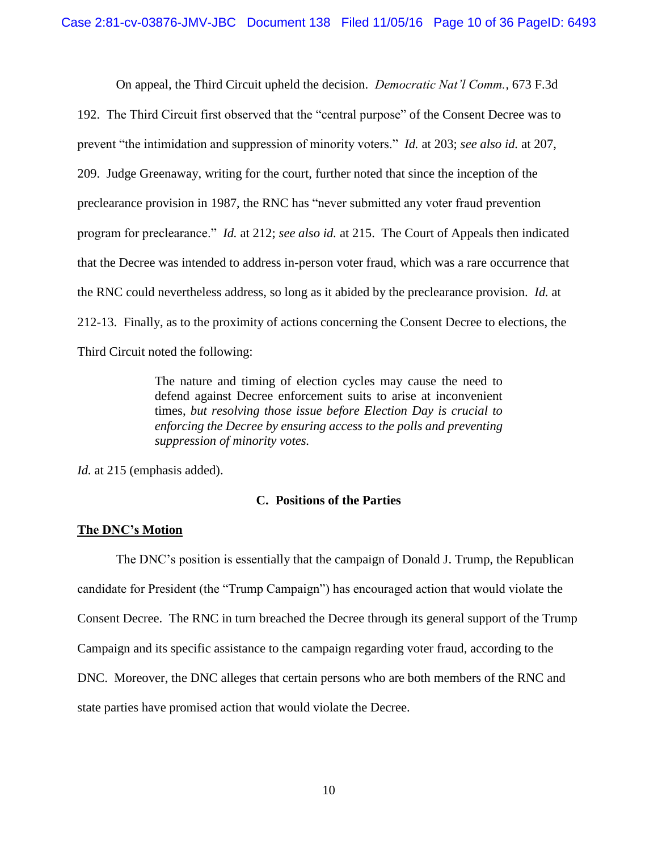On appeal, the Third Circuit upheld the decision. *Democratic Nat'l Comm.*, 673 F.3d

192. The Third Circuit first observed that the "central purpose" of the Consent Decree was to prevent "the intimidation and suppression of minority voters." *Id.* at 203; *see also id.* at 207, 209. Judge Greenaway, writing for the court, further noted that since the inception of the preclearance provision in 1987, the RNC has "never submitted any voter fraud prevention program for preclearance." *Id.* at 212; *see also id.* at 215. The Court of Appeals then indicated that the Decree was intended to address in-person voter fraud, which was a rare occurrence that the RNC could nevertheless address, so long as it abided by the preclearance provision. *Id.* at 212-13. Finally, as to the proximity of actions concerning the Consent Decree to elections, the Third Circuit noted the following:

> The nature and timing of election cycles may cause the need to defend against Decree enforcement suits to arise at inconvenient times, *but resolving those issue before Election Day is crucial to enforcing the Decree by ensuring access to the polls and preventing suppression of minority votes.*

*Id.* at 215 (emphasis added).

### **C. Positions of the Parties**

### **The DNC's Motion**

The DNC's position is essentially that the campaign of Donald J. Trump, the Republican candidate for President (the "Trump Campaign") has encouraged action that would violate the Consent Decree. The RNC in turn breached the Decree through its general support of the Trump Campaign and its specific assistance to the campaign regarding voter fraud, according to the DNC. Moreover, the DNC alleges that certain persons who are both members of the RNC and state parties have promised action that would violate the Decree.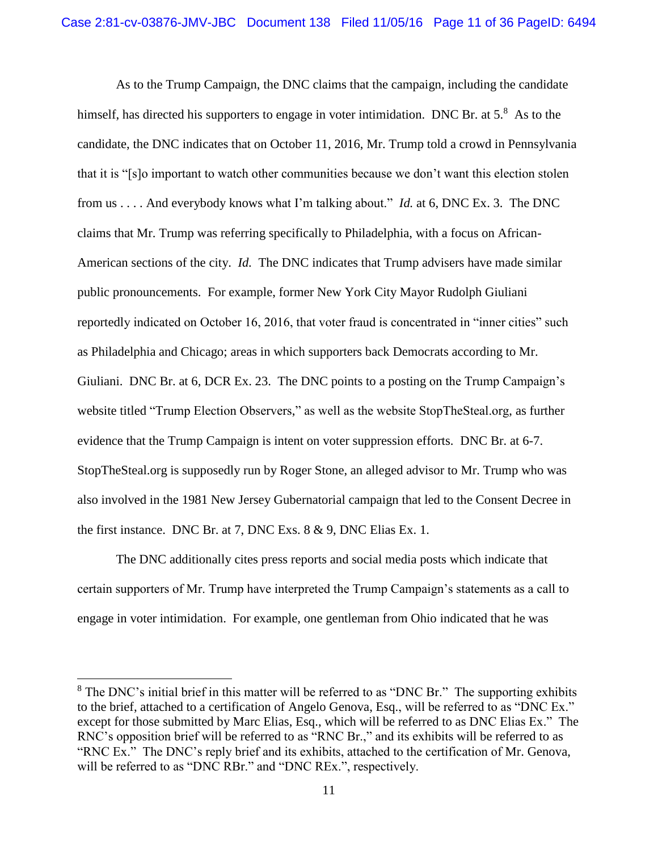As to the Trump Campaign, the DNC claims that the campaign, including the candidate himself, has directed his supporters to engage in voter intimidation. DNC Br. at  $5<sup>8</sup>$  As to the candidate, the DNC indicates that on October 11, 2016, Mr. Trump told a crowd in Pennsylvania that it is "[s]o important to watch other communities because we don't want this election stolen from us . . . . And everybody knows what I'm talking about." *Id.* at 6, DNC Ex. 3. The DNC claims that Mr. Trump was referring specifically to Philadelphia, with a focus on African-American sections of the city. *Id.* The DNC indicates that Trump advisers have made similar public pronouncements. For example, former New York City Mayor Rudolph Giuliani reportedly indicated on October 16, 2016, that voter fraud is concentrated in "inner cities" such as Philadelphia and Chicago; areas in which supporters back Democrats according to Mr. Giuliani. DNC Br. at 6, DCR Ex. 23. The DNC points to a posting on the Trump Campaign's website titled "Trump Election Observers," as well as the website StopTheSteal.org, as further evidence that the Trump Campaign is intent on voter suppression efforts. DNC Br. at 6-7. StopTheSteal.org is supposedly run by Roger Stone, an alleged advisor to Mr. Trump who was also involved in the 1981 New Jersey Gubernatorial campaign that led to the Consent Decree in the first instance. DNC Br. at 7, DNC Exs. 8 & 9, DNC Elias Ex. 1.

The DNC additionally cites press reports and social media posts which indicate that certain supporters of Mr. Trump have interpreted the Trump Campaign's statements as a call to engage in voter intimidation. For example, one gentleman from Ohio indicated that he was

 $8$  The DNC's initial brief in this matter will be referred to as "DNC Br." The supporting exhibits to the brief, attached to a certification of Angelo Genova, Esq., will be referred to as "DNC Ex." except for those submitted by Marc Elias, Esq., which will be referred to as DNC Elias Ex." The RNC's opposition brief will be referred to as "RNC Br.," and its exhibits will be referred to as "RNC Ex." The DNC's reply brief and its exhibits, attached to the certification of Mr. Genova, will be referred to as "DNC RBr." and "DNC REx.", respectively.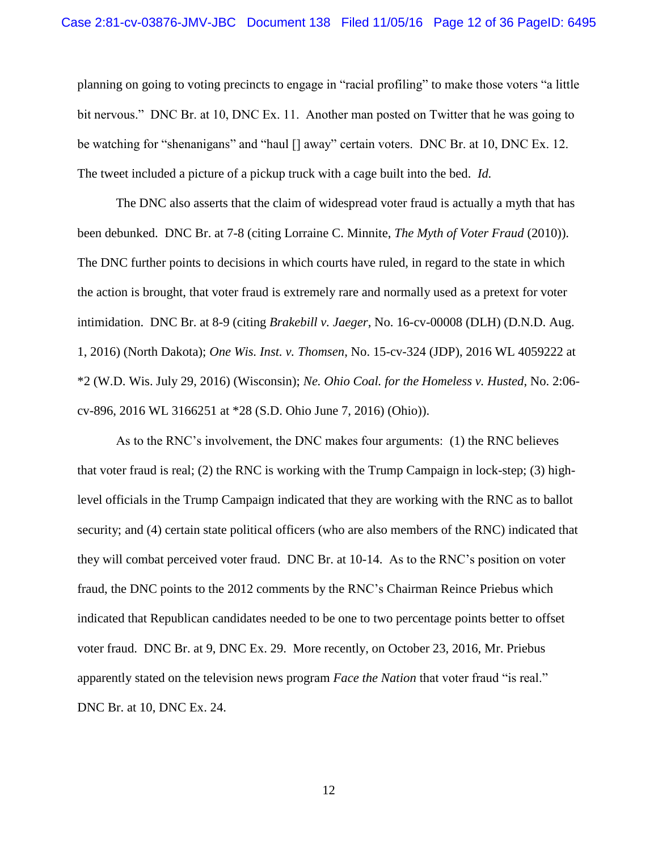planning on going to voting precincts to engage in "racial profiling" to make those voters "a little bit nervous." DNC Br. at 10, DNC Ex. 11. Another man posted on Twitter that he was going to be watching for "shenanigans" and "haul [] away" certain voters. DNC Br. at 10, DNC Ex. 12. The tweet included a picture of a pickup truck with a cage built into the bed. *Id.*

The DNC also asserts that the claim of widespread voter fraud is actually a myth that has been debunked. DNC Br. at 7-8 (citing Lorraine C. Minnite, *The Myth of Voter Fraud* (2010)). The DNC further points to decisions in which courts have ruled, in regard to the state in which the action is brought, that voter fraud is extremely rare and normally used as a pretext for voter intimidation. DNC Br. at 8-9 (citing *Brakebill v. Jaeger*, No. 16-cv-00008 (DLH) (D.N.D. Aug. 1, 2016) (North Dakota); *One Wis. Inst. v. Thomsen*, No. 15-cv-324 (JDP), 2016 WL 4059222 at \*2 (W.D. Wis. July 29, 2016) (Wisconsin); *Ne. Ohio Coal. for the Homeless v. Husted*, No. 2:06 cv-896, 2016 WL 3166251 at \*28 (S.D. Ohio June 7, 2016) (Ohio)).

As to the RNC's involvement, the DNC makes four arguments: (1) the RNC believes that voter fraud is real; (2) the RNC is working with the Trump Campaign in lock-step; (3) highlevel officials in the Trump Campaign indicated that they are working with the RNC as to ballot security; and (4) certain state political officers (who are also members of the RNC) indicated that they will combat perceived voter fraud. DNC Br. at 10-14. As to the RNC's position on voter fraud, the DNC points to the 2012 comments by the RNC's Chairman Reince Priebus which indicated that Republican candidates needed to be one to two percentage points better to offset voter fraud. DNC Br. at 9, DNC Ex. 29. More recently, on October 23, 2016, Mr. Priebus apparently stated on the television news program *Face the Nation* that voter fraud "is real." DNC Br. at 10, DNC Ex. 24.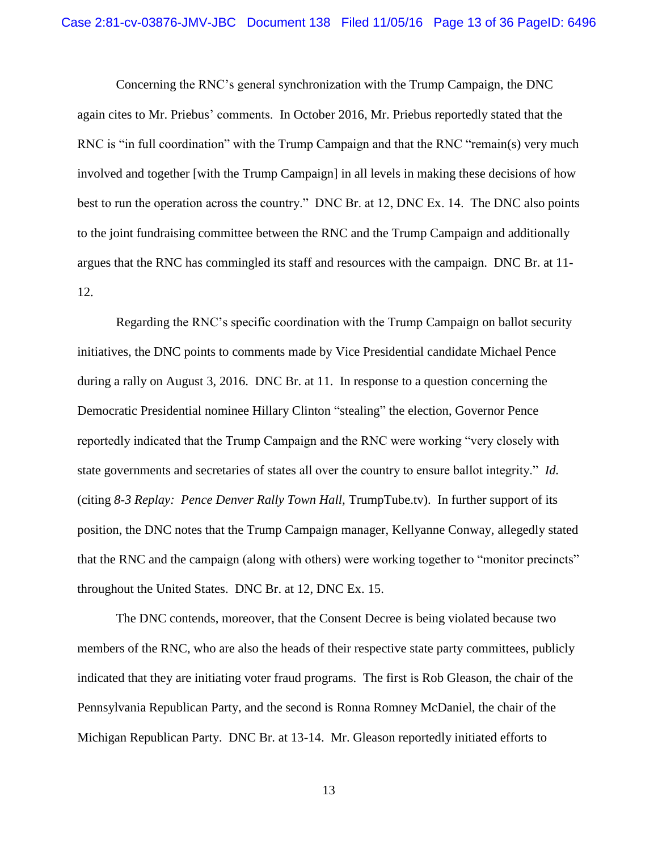Concerning the RNC's general synchronization with the Trump Campaign, the DNC again cites to Mr. Priebus' comments. In October 2016, Mr. Priebus reportedly stated that the RNC is "in full coordination" with the Trump Campaign and that the RNC "remain(s) very much involved and together [with the Trump Campaign] in all levels in making these decisions of how best to run the operation across the country." DNC Br. at 12, DNC Ex. 14. The DNC also points to the joint fundraising committee between the RNC and the Trump Campaign and additionally argues that the RNC has commingled its staff and resources with the campaign. DNC Br. at 11- 12.

Regarding the RNC's specific coordination with the Trump Campaign on ballot security initiatives, the DNC points to comments made by Vice Presidential candidate Michael Pence during a rally on August 3, 2016. DNC Br. at 11. In response to a question concerning the Democratic Presidential nominee Hillary Clinton "stealing" the election, Governor Pence reportedly indicated that the Trump Campaign and the RNC were working "very closely with state governments and secretaries of states all over the country to ensure ballot integrity." *Id.* (citing *8-3 Replay: Pence Denver Rally Town Hall,* TrumpTube.tv). In further support of its position, the DNC notes that the Trump Campaign manager, Kellyanne Conway, allegedly stated that the RNC and the campaign (along with others) were working together to "monitor precincts" throughout the United States. DNC Br. at 12, DNC Ex. 15.

The DNC contends, moreover, that the Consent Decree is being violated because two members of the RNC, who are also the heads of their respective state party committees, publicly indicated that they are initiating voter fraud programs. The first is Rob Gleason, the chair of the Pennsylvania Republican Party, and the second is Ronna Romney McDaniel, the chair of the Michigan Republican Party. DNC Br. at 13-14. Mr. Gleason reportedly initiated efforts to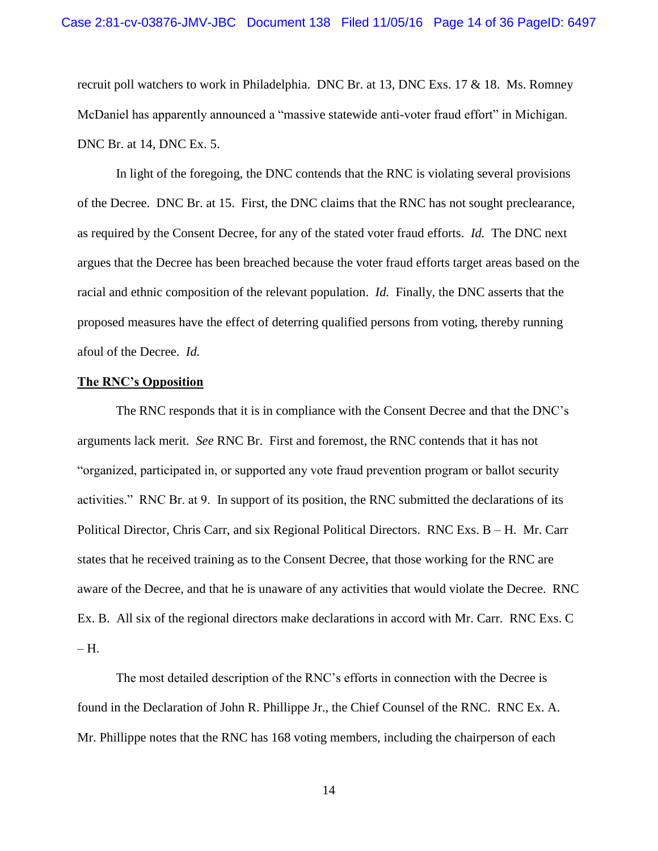recruit poll watchers to work in Philadelphia. DNC Br. at 13, DNC Exs. 17 & 18. Ms. Romney McDaniel has apparently announced a "massive statewide anti-voter fraud effort" in Michigan. DNC Br. at 14, DNC Ex. 5.

In light of the foregoing, the DNC contends that the RNC is violating several provisions of the Decree. DNC Br. at 15. First, the DNC claims that the RNC has not sought preclearance, as required by the Consent Decree, for any of the stated voter fraud efforts. *Id.* The DNC next argues that the Decree has been breached because the voter fraud efforts target areas based on the racial and ethnic composition of the relevant population. *Id.* Finally, the DNC asserts that the proposed measures have the effect of deterring qualified persons from voting, thereby running afoul of the Decree. *Id.*

#### **The RNC's Opposition**

The RNC responds that it is in compliance with the Consent Decree and that the DNC's arguments lack merit. *See* RNC Br. First and foremost, the RNC contends that it has not "organized, participated in, or supported any vote fraud prevention program or ballot security activities." RNC Br. at 9. In support of its position, the RNC submitted the declarations of its Political Director, Chris Carr, and six Regional Political Directors. RNC Exs. B – H. Mr. Carr states that he received training as to the Consent Decree, that those working for the RNC are aware of the Decree, and that he is unaware of any activities that would violate the Decree. RNC Ex. B. All six of the regional directors make declarations in accord with Mr. Carr. RNC Exs. C – H.

The most detailed description of the RNC's efforts in connection with the Decree is found in the Declaration of John R. Phillippe Jr., the Chief Counsel of the RNC. RNC Ex. A. Mr. Phillippe notes that the RNC has 168 voting members, including the chairperson of each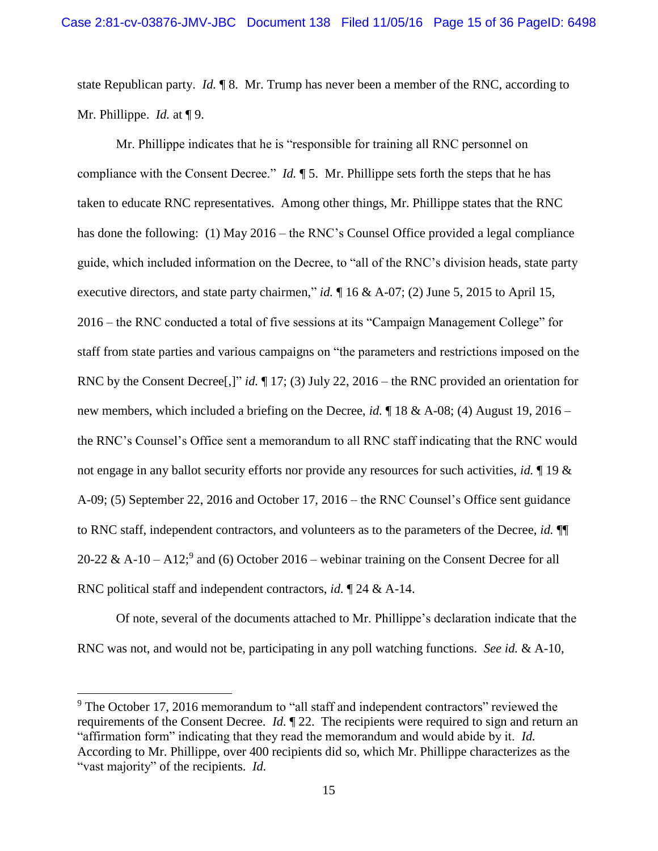state Republican party. *Id.* ¶ 8. Mr. Trump has never been a member of the RNC, according to Mr. Phillippe. *Id.* at ¶ 9.

Mr. Phillippe indicates that he is "responsible for training all RNC personnel on compliance with the Consent Decree." *Id.* ¶ 5. Mr. Phillippe sets forth the steps that he has taken to educate RNC representatives. Among other things, Mr. Phillippe states that the RNC has done the following: (1) May 2016 – the RNC's Counsel Office provided a legal compliance guide, which included information on the Decree, to "all of the RNC's division heads, state party executive directors, and state party chairmen," *id.* ¶ 16 & A-07; (2) June 5, 2015 to April 15, 2016 – the RNC conducted a total of five sessions at its "Campaign Management College" for staff from state parties and various campaigns on "the parameters and restrictions imposed on the RNC by the Consent Decree[,]" *id.* ¶ 17; (3) July 22, 2016 – the RNC provided an orientation for new members, which included a briefing on the Decree, *id.* ¶ 18 & A-08; (4) August 19, 2016 – the RNC's Counsel's Office sent a memorandum to all RNC staff indicating that the RNC would not engage in any ballot security efforts nor provide any resources for such activities, *id.* ¶ 19 & A-09; (5) September 22, 2016 and October 17, 2016 – the RNC Counsel's Office sent guidance to RNC staff, independent contractors, and volunteers as to the parameters of the Decree, *id.* ¶¶ 20-22 & A-10 – A12;<sup>9</sup> and (6) October 2016 – webinar training on the Consent Decree for all RNC political staff and independent contractors, *id.* ¶ 24 & A-14.

Of note, several of the documents attached to Mr. Phillippe's declaration indicate that the RNC was not, and would not be, participating in any poll watching functions. *See id.* & A-10,

l

<sup>&</sup>lt;sup>9</sup> The October 17, 2016 memorandum to "all staff and independent contractors" reviewed the requirements of the Consent Decree. *Id.* ¶ 22. The recipients were required to sign and return an "affirmation form" indicating that they read the memorandum and would abide by it. *Id.* According to Mr. Phillippe, over 400 recipients did so, which Mr. Phillippe characterizes as the "vast majority" of the recipients. *Id.*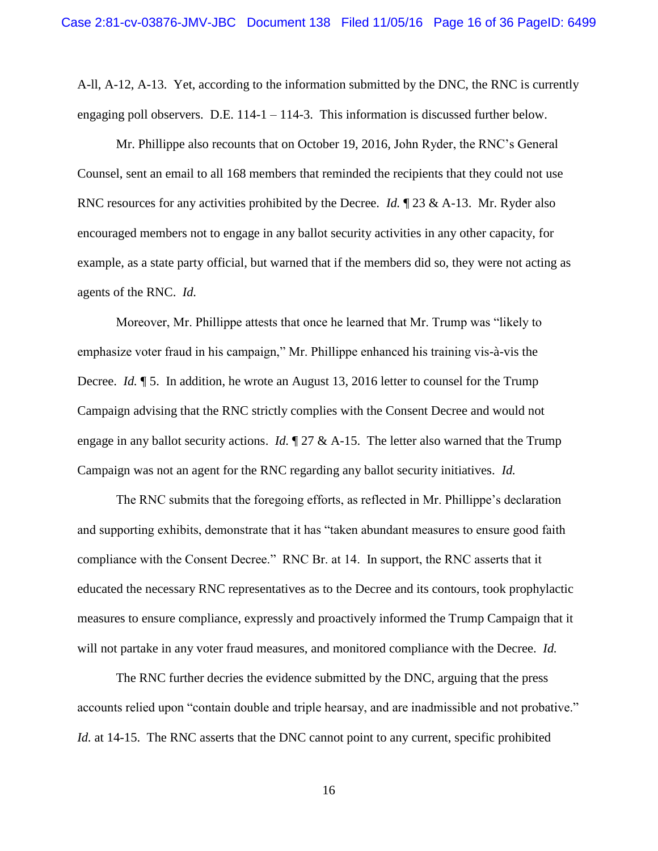A-ll, A-12, A-13. Yet, according to the information submitted by the DNC, the RNC is currently engaging poll observers. D.E. 114-1 – 114-3. This information is discussed further below.

Mr. Phillippe also recounts that on October 19, 2016, John Ryder, the RNC's General Counsel, sent an email to all 168 members that reminded the recipients that they could not use RNC resources for any activities prohibited by the Decree. *Id.*  $\mathbb{I}$  23 & A-13. Mr. Ryder also encouraged members not to engage in any ballot security activities in any other capacity, for example, as a state party official, but warned that if the members did so, they were not acting as agents of the RNC. *Id.*

Moreover, Mr. Phillippe attests that once he learned that Mr. Trump was "likely to emphasize voter fraud in his campaign," Mr. Phillippe enhanced his training vis-à-vis the Decree. *Id.*  $\parallel$  5. In addition, he wrote an August 13, 2016 letter to counsel for the Trump Campaign advising that the RNC strictly complies with the Consent Decree and would not engage in any ballot security actions. *Id.* ¶ 27 & A-15. The letter also warned that the Trump Campaign was not an agent for the RNC regarding any ballot security initiatives. *Id.*

The RNC submits that the foregoing efforts, as reflected in Mr. Phillippe's declaration and supporting exhibits, demonstrate that it has "taken abundant measures to ensure good faith compliance with the Consent Decree." RNC Br. at 14. In support, the RNC asserts that it educated the necessary RNC representatives as to the Decree and its contours, took prophylactic measures to ensure compliance, expressly and proactively informed the Trump Campaign that it will not partake in any voter fraud measures, and monitored compliance with the Decree. *Id.*

The RNC further decries the evidence submitted by the DNC, arguing that the press accounts relied upon "contain double and triple hearsay, and are inadmissible and not probative." *Id.* at 14-15. The RNC asserts that the DNC cannot point to any current, specific prohibited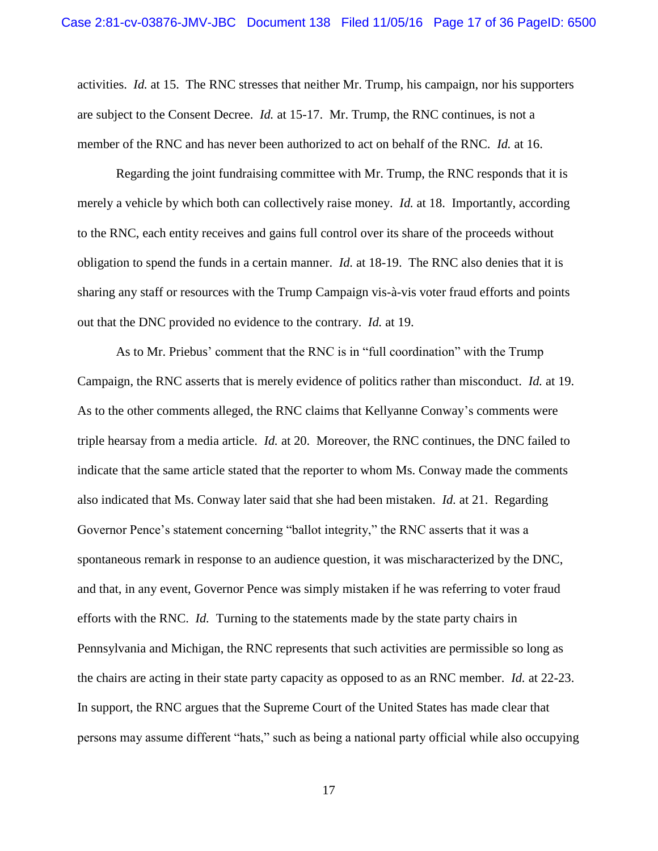activities. *Id.* at 15. The RNC stresses that neither Mr. Trump, his campaign, nor his supporters are subject to the Consent Decree. *Id.* at 15-17. Mr. Trump, the RNC continues, is not a member of the RNC and has never been authorized to act on behalf of the RNC. *Id.* at 16.

Regarding the joint fundraising committee with Mr. Trump, the RNC responds that it is merely a vehicle by which both can collectively raise money. *Id.* at 18. Importantly, according to the RNC, each entity receives and gains full control over its share of the proceeds without obligation to spend the funds in a certain manner. *Id.* at 18-19. The RNC also denies that it is sharing any staff or resources with the Trump Campaign vis-à-vis voter fraud efforts and points out that the DNC provided no evidence to the contrary. *Id.* at 19.

As to Mr. Priebus' comment that the RNC is in "full coordination" with the Trump Campaign, the RNC asserts that is merely evidence of politics rather than misconduct. *Id.* at 19. As to the other comments alleged, the RNC claims that Kellyanne Conway's comments were triple hearsay from a media article. *Id.* at 20. Moreover, the RNC continues, the DNC failed to indicate that the same article stated that the reporter to whom Ms. Conway made the comments also indicated that Ms. Conway later said that she had been mistaken. *Id.* at 21. Regarding Governor Pence's statement concerning "ballot integrity," the RNC asserts that it was a spontaneous remark in response to an audience question, it was mischaracterized by the DNC, and that, in any event, Governor Pence was simply mistaken if he was referring to voter fraud efforts with the RNC. *Id.* Turning to the statements made by the state party chairs in Pennsylvania and Michigan, the RNC represents that such activities are permissible so long as the chairs are acting in their state party capacity as opposed to as an RNC member. *Id.* at 22-23. In support, the RNC argues that the Supreme Court of the United States has made clear that persons may assume different "hats," such as being a national party official while also occupying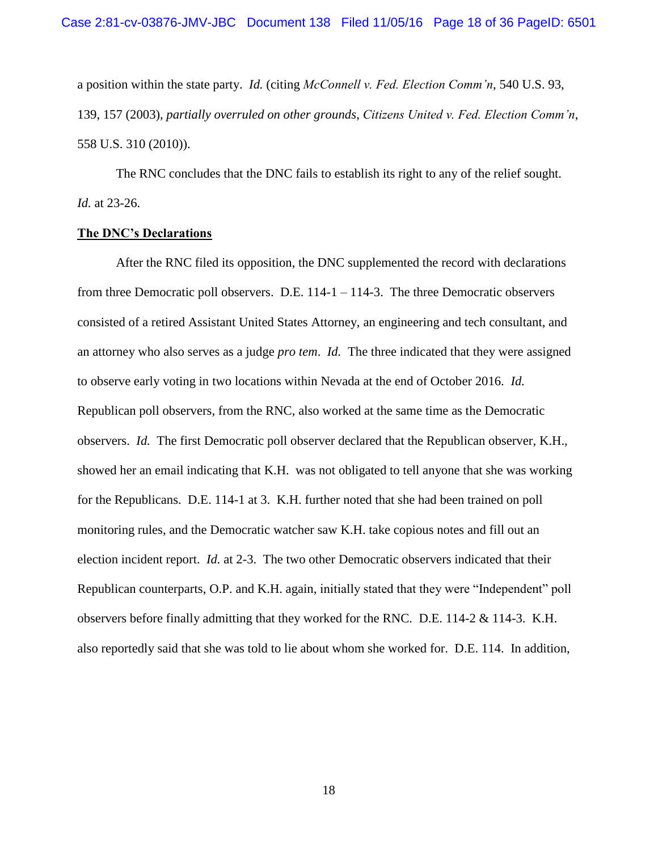a position within the state party. *Id.* (citing *McConnell v. Fed. Election Comm'n*, 540 U.S. 93, 139, 157 (2003), *partially overruled on other grounds*, *Citizens United v. Fed. Election Comm'n*, 558 U.S. 310 (2010)).

The RNC concludes that the DNC fails to establish its right to any of the relief sought. *Id.* at 23-26.

### **The DNC's Declarations**

After the RNC filed its opposition, the DNC supplemented the record with declarations from three Democratic poll observers. D.E. 114-1 – 114-3. The three Democratic observers consisted of a retired Assistant United States Attorney, an engineering and tech consultant, and an attorney who also serves as a judge *pro tem*. *Id.* The three indicated that they were assigned to observe early voting in two locations within Nevada at the end of October 2016. *Id.* Republican poll observers, from the RNC, also worked at the same time as the Democratic observers. *Id.* The first Democratic poll observer declared that the Republican observer, K.H., showed her an email indicating that K.H. was not obligated to tell anyone that she was working for the Republicans. D.E. 114-1 at 3. K.H. further noted that she had been trained on poll monitoring rules, and the Democratic watcher saw K.H. take copious notes and fill out an election incident report. *Id.* at 2-3. The two other Democratic observers indicated that their Republican counterparts, O.P. and K.H. again, initially stated that they were "Independent" poll observers before finally admitting that they worked for the RNC. D.E. 114-2 & 114-3. K.H. also reportedly said that she was told to lie about whom she worked for. D.E. 114. In addition,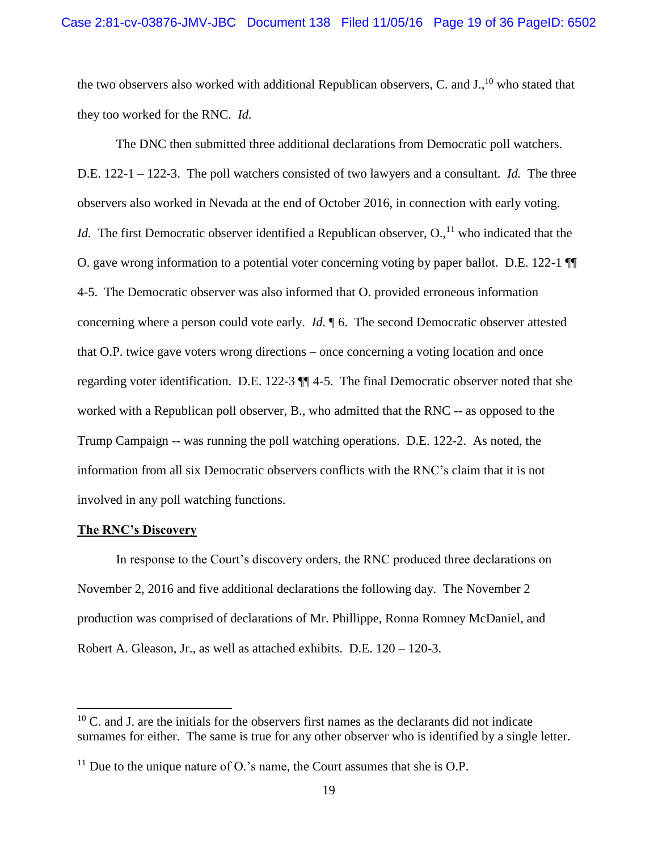the two observers also worked with additional Republican observers, C. and  $J<sub>1</sub><sup>10</sup>$  who stated that they too worked for the RNC. *Id.*

The DNC then submitted three additional declarations from Democratic poll watchers. D.E. 122-1 – 122-3. The poll watchers consisted of two lawyers and a consultant. *Id.* The three observers also worked in Nevada at the end of October 2016, in connection with early voting. *Id.* The first Democratic observer identified a Republican observer, O.,<sup>11</sup> who indicated that the O. gave wrong information to a potential voter concerning voting by paper ballot. D.E. 122-1 ¶¶ 4-5. The Democratic observer was also informed that O. provided erroneous information concerning where a person could vote early. *Id.* ¶ 6. The second Democratic observer attested that O.P. twice gave voters wrong directions – once concerning a voting location and once regarding voter identification. D.E. 122-3 ¶¶ 4-5. The final Democratic observer noted that she worked with a Republican poll observer, B., who admitted that the RNC -- as opposed to the Trump Campaign -- was running the poll watching operations. D.E. 122-2. As noted, the information from all six Democratic observers conflicts with the RNC's claim that it is not involved in any poll watching functions.

### **The RNC's Discovery**

 $\overline{a}$ 

In response to the Court's discovery orders, the RNC produced three declarations on November 2, 2016 and five additional declarations the following day. The November 2 production was comprised of declarations of Mr. Phillippe, Ronna Romney McDaniel, and Robert A. Gleason, Jr., as well as attached exhibits. D.E. 120 – 120-3.

 $10$  C. and J. are the initials for the observers first names as the declarants did not indicate surnames for either. The same is true for any other observer who is identified by a single letter.

<sup>&</sup>lt;sup>11</sup> Due to the unique nature of O.'s name, the Court assumes that she is O.P.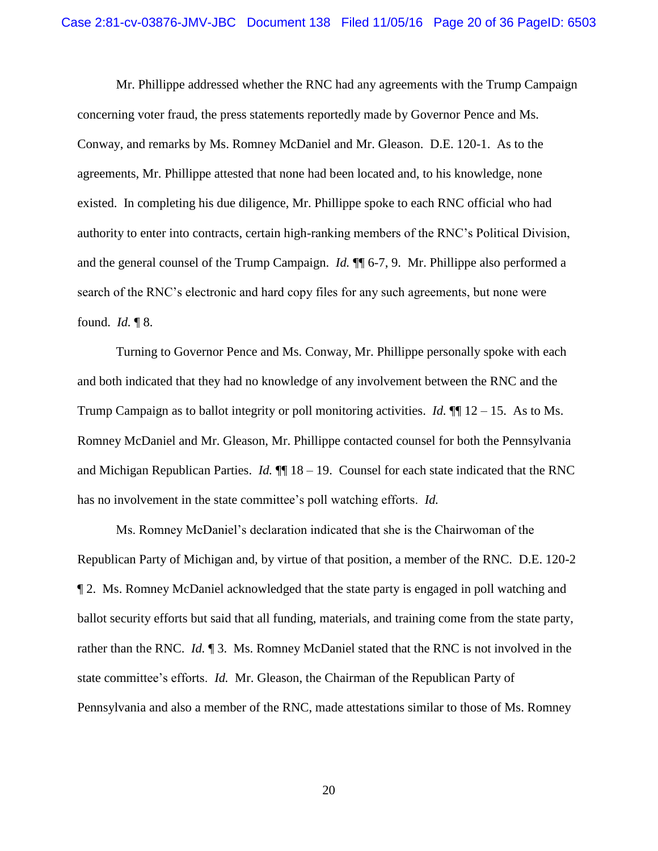Mr. Phillippe addressed whether the RNC had any agreements with the Trump Campaign concerning voter fraud, the press statements reportedly made by Governor Pence and Ms. Conway, and remarks by Ms. Romney McDaniel and Mr. Gleason. D.E. 120-1. As to the agreements, Mr. Phillippe attested that none had been located and, to his knowledge, none existed. In completing his due diligence, Mr. Phillippe spoke to each RNC official who had authority to enter into contracts, certain high-ranking members of the RNC's Political Division, and the general counsel of the Trump Campaign. *Id.* ¶¶ 6-7, 9. Mr. Phillippe also performed a search of the RNC's electronic and hard copy files for any such agreements, but none were found. *Id.* ¶ 8.

Turning to Governor Pence and Ms. Conway, Mr. Phillippe personally spoke with each and both indicated that they had no knowledge of any involvement between the RNC and the Trump Campaign as to ballot integrity or poll monitoring activities. *Id.* ¶¶ 12 – 15. As to Ms. Romney McDaniel and Mr. Gleason, Mr. Phillippe contacted counsel for both the Pennsylvania and Michigan Republican Parties. *Id.*  $\P\P$  18 – 19. Counsel for each state indicated that the RNC has no involvement in the state committee's poll watching efforts. *Id.*

Ms. Romney McDaniel's declaration indicated that she is the Chairwoman of the Republican Party of Michigan and, by virtue of that position, a member of the RNC. D.E. 120-2 ¶ 2. Ms. Romney McDaniel acknowledged that the state party is engaged in poll watching and ballot security efforts but said that all funding, materials, and training come from the state party, rather than the RNC. *Id.* ¶ 3. Ms. Romney McDaniel stated that the RNC is not involved in the state committee's efforts. *Id.* Mr. Gleason, the Chairman of the Republican Party of Pennsylvania and also a member of the RNC, made attestations similar to those of Ms. Romney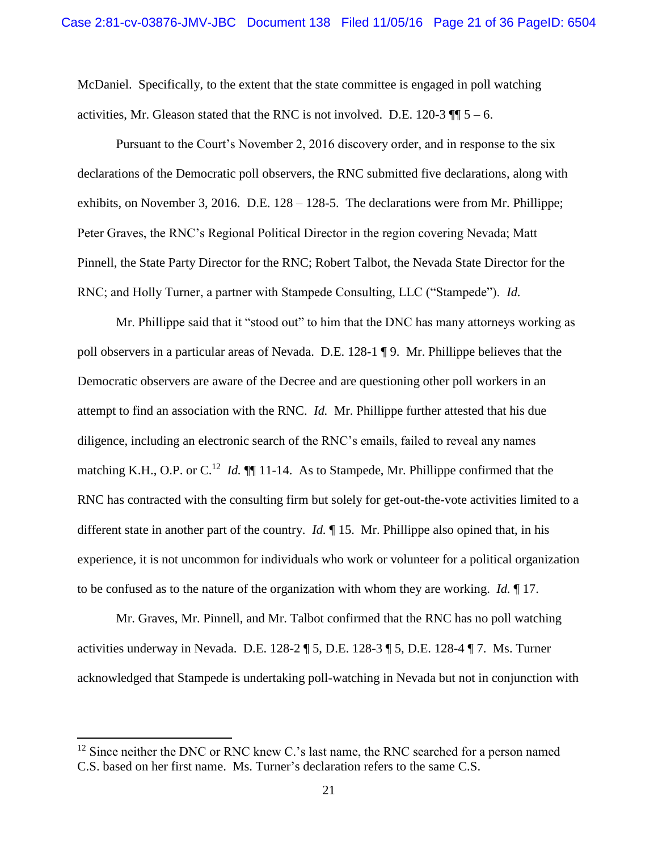McDaniel. Specifically, to the extent that the state committee is engaged in poll watching activities, Mr. Gleason stated that the RNC is not involved. D.E. 120-3  $\P$   $\overline{\phantom{0}}$  5 – 6.

Pursuant to the Court's November 2, 2016 discovery order, and in response to the six declarations of the Democratic poll observers, the RNC submitted five declarations, along with exhibits, on November 3, 2016. D.E. 128 – 128-5. The declarations were from Mr. Phillippe; Peter Graves, the RNC's Regional Political Director in the region covering Nevada; Matt Pinnell, the State Party Director for the RNC; Robert Talbot, the Nevada State Director for the RNC; and Holly Turner, a partner with Stampede Consulting, LLC ("Stampede"). *Id.*

Mr. Phillippe said that it "stood out" to him that the DNC has many attorneys working as poll observers in a particular areas of Nevada. D.E. 128-1 ¶ 9. Mr. Phillippe believes that the Democratic observers are aware of the Decree and are questioning other poll workers in an attempt to find an association with the RNC. *Id.* Mr. Phillippe further attested that his due diligence, including an electronic search of the RNC's emails, failed to reveal any names matching K.H., O.P. or C.<sup>12</sup> *Id.* **1**.14. As to Stampede, Mr. Phillippe confirmed that the RNC has contracted with the consulting firm but solely for get-out-the-vote activities limited to a different state in another part of the country. *Id.* ¶ 15. Mr. Phillippe also opined that, in his experience, it is not uncommon for individuals who work or volunteer for a political organization to be confused as to the nature of the organization with whom they are working. *Id.* ¶ 17.

Mr. Graves, Mr. Pinnell, and Mr. Talbot confirmed that the RNC has no poll watching activities underway in Nevada. D.E. 128-2 ¶ 5, D.E. 128-3 ¶ 5, D.E. 128-4 ¶ 7. Ms. Turner acknowledged that Stampede is undertaking poll-watching in Nevada but not in conjunction with

 $12$  Since neither the DNC or RNC knew C.'s last name, the RNC searched for a person named C.S. based on her first name. Ms. Turner's declaration refers to the same C.S.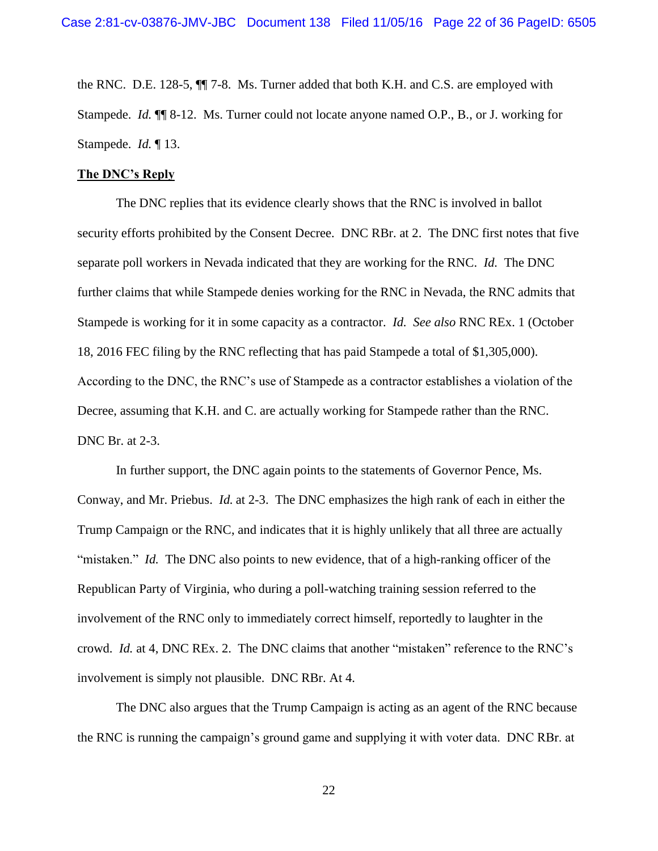the RNC. D.E. 128-5, ¶¶ 7-8. Ms. Turner added that both K.H. and C.S. are employed with Stampede. *Id.* ¶¶ 8-12. Ms. Turner could not locate anyone named O.P., B., or J. working for Stampede. *Id.* ¶ 13.

#### **The DNC's Reply**

The DNC replies that its evidence clearly shows that the RNC is involved in ballot security efforts prohibited by the Consent Decree. DNC RBr. at 2. The DNC first notes that five separate poll workers in Nevada indicated that they are working for the RNC. *Id.* The DNC further claims that while Stampede denies working for the RNC in Nevada, the RNC admits that Stampede is working for it in some capacity as a contractor. *Id. See also* RNC REx. 1 (October 18, 2016 FEC filing by the RNC reflecting that has paid Stampede a total of \$1,305,000). According to the DNC, the RNC's use of Stampede as a contractor establishes a violation of the Decree, assuming that K.H. and C. are actually working for Stampede rather than the RNC. DNC Br. at 2-3.

In further support, the DNC again points to the statements of Governor Pence, Ms. Conway, and Mr. Priebus. *Id.* at 2-3. The DNC emphasizes the high rank of each in either the Trump Campaign or the RNC, and indicates that it is highly unlikely that all three are actually "mistaken." *Id.* The DNC also points to new evidence, that of a high-ranking officer of the Republican Party of Virginia, who during a poll-watching training session referred to the involvement of the RNC only to immediately correct himself, reportedly to laughter in the crowd. *Id.* at 4, DNC REx. 2. The DNC claims that another "mistaken" reference to the RNC's involvement is simply not plausible. DNC RBr. At 4.

The DNC also argues that the Trump Campaign is acting as an agent of the RNC because the RNC is running the campaign's ground game and supplying it with voter data. DNC RBr. at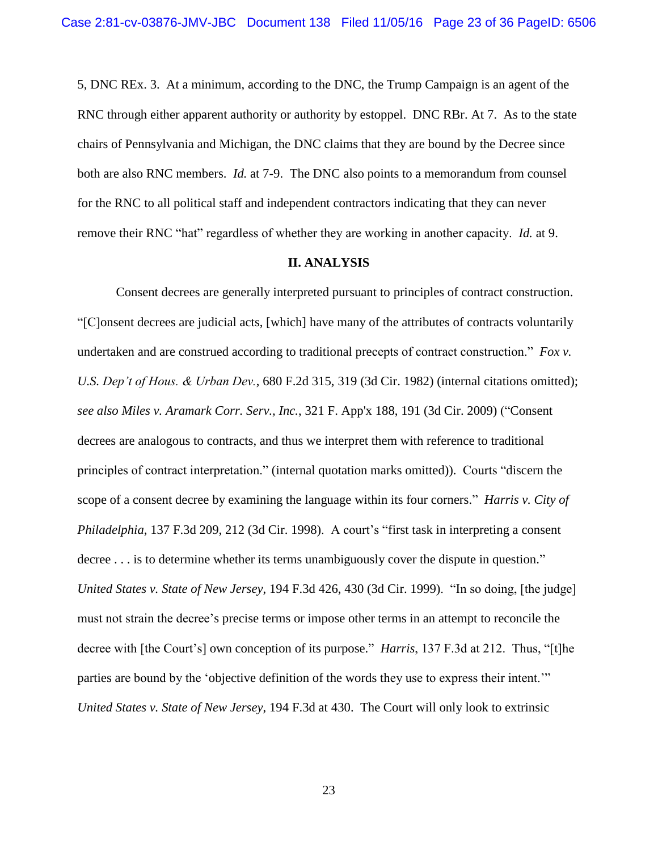5, DNC REx. 3. At a minimum, according to the DNC, the Trump Campaign is an agent of the RNC through either apparent authority or authority by estoppel. DNC RBr. At 7. As to the state chairs of Pennsylvania and Michigan, the DNC claims that they are bound by the Decree since both are also RNC members. *Id.* at 7-9. The DNC also points to a memorandum from counsel for the RNC to all political staff and independent contractors indicating that they can never remove their RNC "hat" regardless of whether they are working in another capacity. *Id.* at 9.

#### **II. ANALYSIS**

Consent decrees are generally interpreted pursuant to principles of contract construction. "[C]onsent decrees are judicial acts, [which] have many of the attributes of contracts voluntarily undertaken and are construed according to traditional precepts of contract construction." *Fox v. U.S. Dep't of Hous. & Urban Dev.*, 680 F.2d 315, 319 (3d Cir. 1982) (internal citations omitted); *see also Miles v. Aramark Corr. Serv., Inc.*, 321 F. App'x 188, 191 (3d Cir. 2009) ("Consent decrees are analogous to contracts, and thus we interpret them with reference to traditional principles of contract interpretation." (internal quotation marks omitted)). Courts "discern the scope of a consent decree by examining the language within its four corners." *Harris v. City of Philadelphia*, 137 F.3d 209, 212 (3d Cir. 1998). A court's "first task in interpreting a consent decree . . . is to determine whether its terms unambiguously cover the dispute in question." *United States v. State of New Jersey*, 194 F.3d 426, 430 (3d Cir. 1999). "In so doing, [the judge] must not strain the decree's precise terms or impose other terms in an attempt to reconcile the decree with [the Court's] own conception of its purpose." *Harris*, 137 F.3d at 212. Thus, "[t]he parties are bound by the 'objective definition of the words they use to express their intent.'" *United States v. State of New Jersey*, 194 F.3d at 430. The Court will only look to extrinsic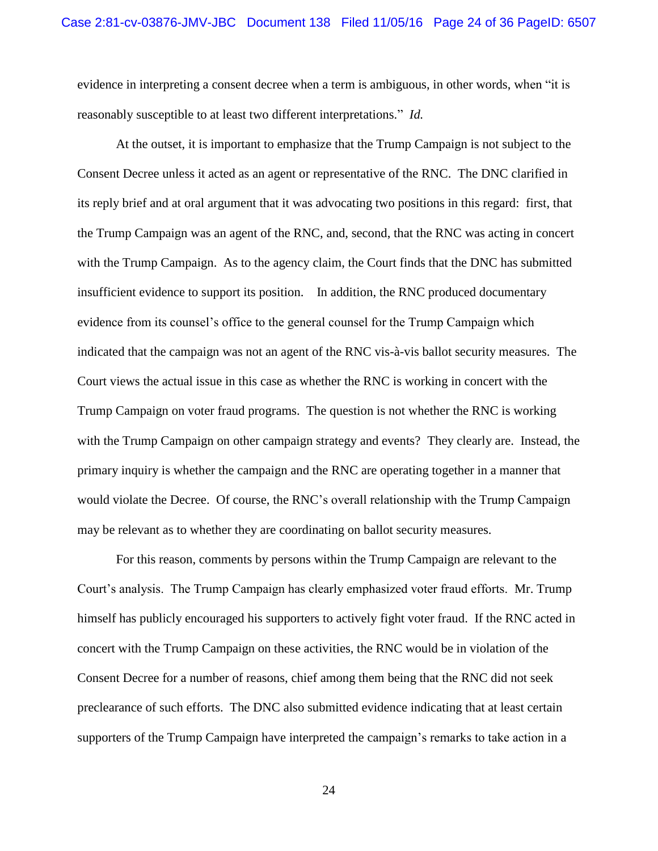evidence in interpreting a consent decree when a term is ambiguous, in other words, when "it is reasonably susceptible to at least two different interpretations." *Id.*

At the outset, it is important to emphasize that the Trump Campaign is not subject to the Consent Decree unless it acted as an agent or representative of the RNC. The DNC clarified in its reply brief and at oral argument that it was advocating two positions in this regard: first, that the Trump Campaign was an agent of the RNC, and, second, that the RNC was acting in concert with the Trump Campaign. As to the agency claim, the Court finds that the DNC has submitted insufficient evidence to support its position. In addition, the RNC produced documentary evidence from its counsel's office to the general counsel for the Trump Campaign which indicated that the campaign was not an agent of the RNC vis-à-vis ballot security measures. The Court views the actual issue in this case as whether the RNC is working in concert with the Trump Campaign on voter fraud programs. The question is not whether the RNC is working with the Trump Campaign on other campaign strategy and events? They clearly are. Instead, the primary inquiry is whether the campaign and the RNC are operating together in a manner that would violate the Decree. Of course, the RNC's overall relationship with the Trump Campaign may be relevant as to whether they are coordinating on ballot security measures.

For this reason, comments by persons within the Trump Campaign are relevant to the Court's analysis. The Trump Campaign has clearly emphasized voter fraud efforts. Mr. Trump himself has publicly encouraged his supporters to actively fight voter fraud. If the RNC acted in concert with the Trump Campaign on these activities, the RNC would be in violation of the Consent Decree for a number of reasons, chief among them being that the RNC did not seek preclearance of such efforts. The DNC also submitted evidence indicating that at least certain supporters of the Trump Campaign have interpreted the campaign's remarks to take action in a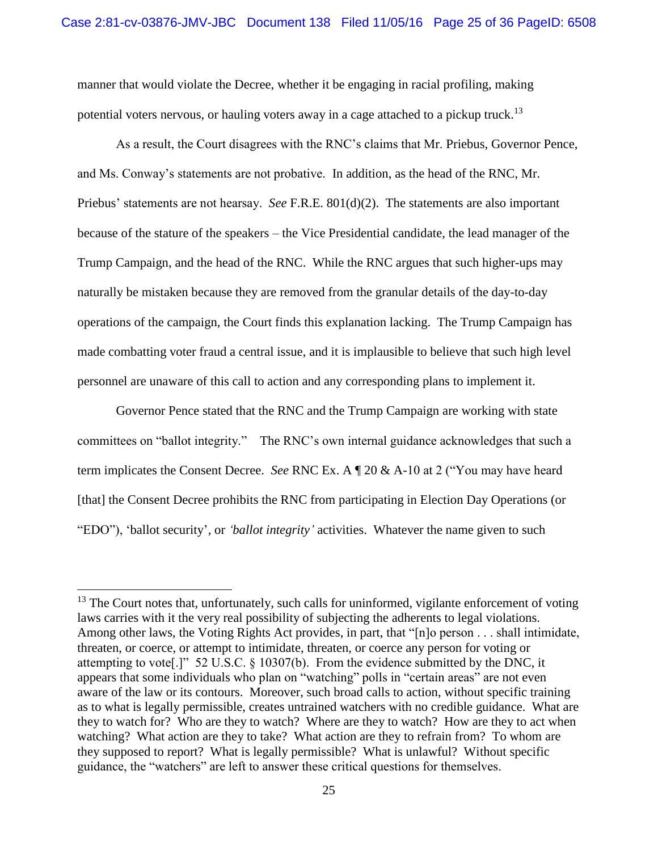manner that would violate the Decree, whether it be engaging in racial profiling, making potential voters nervous, or hauling voters away in a cage attached to a pickup truck.<sup>13</sup>

As a result, the Court disagrees with the RNC's claims that Mr. Priebus, Governor Pence, and Ms. Conway's statements are not probative. In addition, as the head of the RNC, Mr. Priebus' statements are not hearsay. *See* F.R.E. 801(d)(2). The statements are also important because of the stature of the speakers – the Vice Presidential candidate, the lead manager of the Trump Campaign, and the head of the RNC. While the RNC argues that such higher-ups may naturally be mistaken because they are removed from the granular details of the day-to-day operations of the campaign, the Court finds this explanation lacking. The Trump Campaign has made combatting voter fraud a central issue, and it is implausible to believe that such high level personnel are unaware of this call to action and any corresponding plans to implement it.

Governor Pence stated that the RNC and the Trump Campaign are working with state committees on "ballot integrity." The RNC's own internal guidance acknowledges that such a term implicates the Consent Decree. *See* RNC Ex. A ¶ 20 & A-10 at 2 ("You may have heard [that] the Consent Decree prohibits the RNC from participating in Election Day Operations (or "EDO"), 'ballot security', or *'ballot integrity'* activities. Whatever the name given to such

 $13$  The Court notes that, unfortunately, such calls for uninformed, vigilante enforcement of voting laws carries with it the very real possibility of subjecting the adherents to legal violations. Among other laws, the Voting Rights Act provides, in part, that "[n]o person . . . shall intimidate, threaten, or coerce, or attempt to intimidate, threaten, or coerce any person for voting or attempting to vote[.]" 52 U.S.C. § 10307(b). From the evidence submitted by the DNC, it appears that some individuals who plan on "watching" polls in "certain areas" are not even aware of the law or its contours. Moreover, such broad calls to action, without specific training as to what is legally permissible, creates untrained watchers with no credible guidance. What are they to watch for? Who are they to watch? Where are they to watch? How are they to act when watching? What action are they to take? What action are they to refrain from? To whom are they supposed to report? What is legally permissible? What is unlawful? Without specific guidance, the "watchers" are left to answer these critical questions for themselves.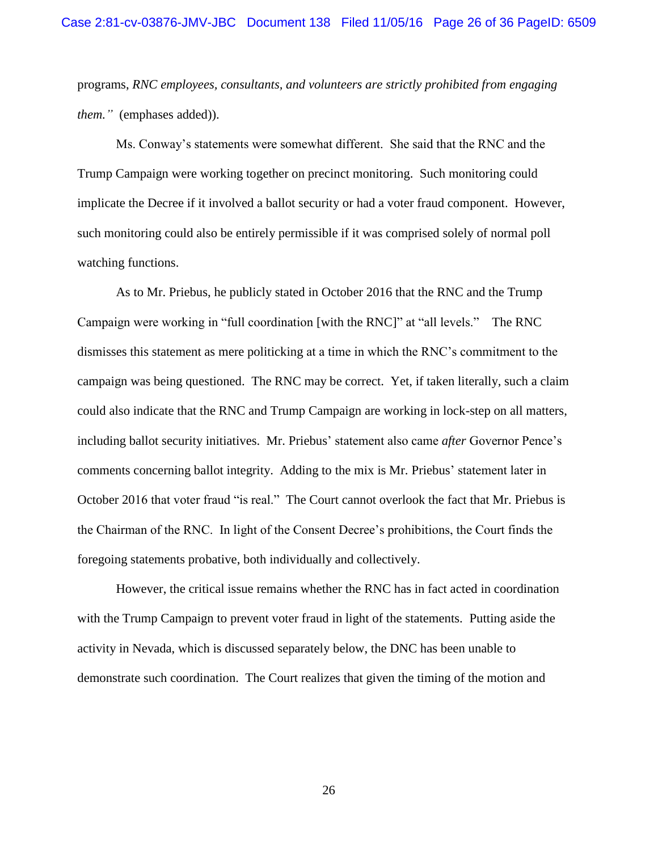programs, *RNC employees, consultants, and volunteers are strictly prohibited from engaging them."* (emphases added)).

Ms. Conway's statements were somewhat different. She said that the RNC and the Trump Campaign were working together on precinct monitoring. Such monitoring could implicate the Decree if it involved a ballot security or had a voter fraud component. However, such monitoring could also be entirely permissible if it was comprised solely of normal poll watching functions.

As to Mr. Priebus, he publicly stated in October 2016 that the RNC and the Trump Campaign were working in "full coordination [with the RNC]" at "all levels." The RNC dismisses this statement as mere politicking at a time in which the RNC's commitment to the campaign was being questioned. The RNC may be correct. Yet, if taken literally, such a claim could also indicate that the RNC and Trump Campaign are working in lock-step on all matters, including ballot security initiatives. Mr. Priebus' statement also came *after* Governor Pence's comments concerning ballot integrity. Adding to the mix is Mr. Priebus' statement later in October 2016 that voter fraud "is real." The Court cannot overlook the fact that Mr. Priebus is the Chairman of the RNC. In light of the Consent Decree's prohibitions, the Court finds the foregoing statements probative, both individually and collectively.

However, the critical issue remains whether the RNC has in fact acted in coordination with the Trump Campaign to prevent voter fraud in light of the statements. Putting aside the activity in Nevada, which is discussed separately below, the DNC has been unable to demonstrate such coordination. The Court realizes that given the timing of the motion and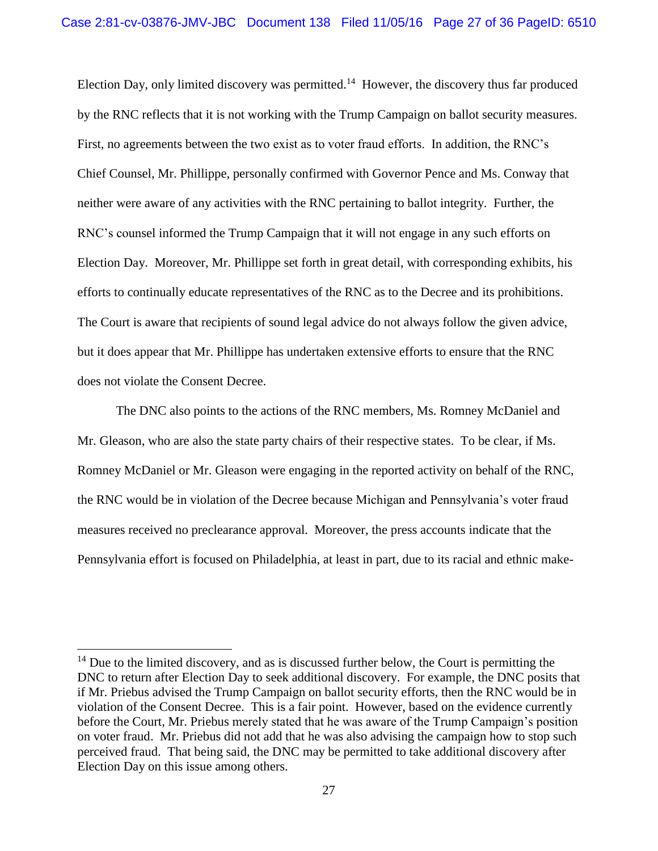Election Day, only limited discovery was permitted.<sup>14</sup> However, the discovery thus far produced by the RNC reflects that it is not working with the Trump Campaign on ballot security measures. First, no agreements between the two exist as to voter fraud efforts. In addition, the RNC's Chief Counsel, Mr. Phillippe, personally confirmed with Governor Pence and Ms. Conway that neither were aware of any activities with the RNC pertaining to ballot integrity. Further, the RNC's counsel informed the Trump Campaign that it will not engage in any such efforts on Election Day. Moreover, Mr. Phillippe set forth in great detail, with corresponding exhibits, his efforts to continually educate representatives of the RNC as to the Decree and its prohibitions. The Court is aware that recipients of sound legal advice do not always follow the given advice, but it does appear that Mr. Phillippe has undertaken extensive efforts to ensure that the RNC does not violate the Consent Decree.

The DNC also points to the actions of the RNC members, Ms. Romney McDaniel and Mr. Gleason, who are also the state party chairs of their respective states. To be clear, if Ms. Romney McDaniel or Mr. Gleason were engaging in the reported activity on behalf of the RNC, the RNC would be in violation of the Decree because Michigan and Pennsylvania's voter fraud measures received no preclearance approval. Moreover, the press accounts indicate that the Pennsylvania effort is focused on Philadelphia, at least in part, due to its racial and ethnic make-

 $14$  Due to the limited discovery, and as is discussed further below, the Court is permitting the DNC to return after Election Day to seek additional discovery. For example, the DNC posits that if Mr. Priebus advised the Trump Campaign on ballot security efforts, then the RNC would be in violation of the Consent Decree. This is a fair point. However, based on the evidence currently before the Court, Mr. Priebus merely stated that he was aware of the Trump Campaign's position on voter fraud. Mr. Priebus did not add that he was also advising the campaign how to stop such perceived fraud. That being said, the DNC may be permitted to take additional discovery after Election Day on this issue among others.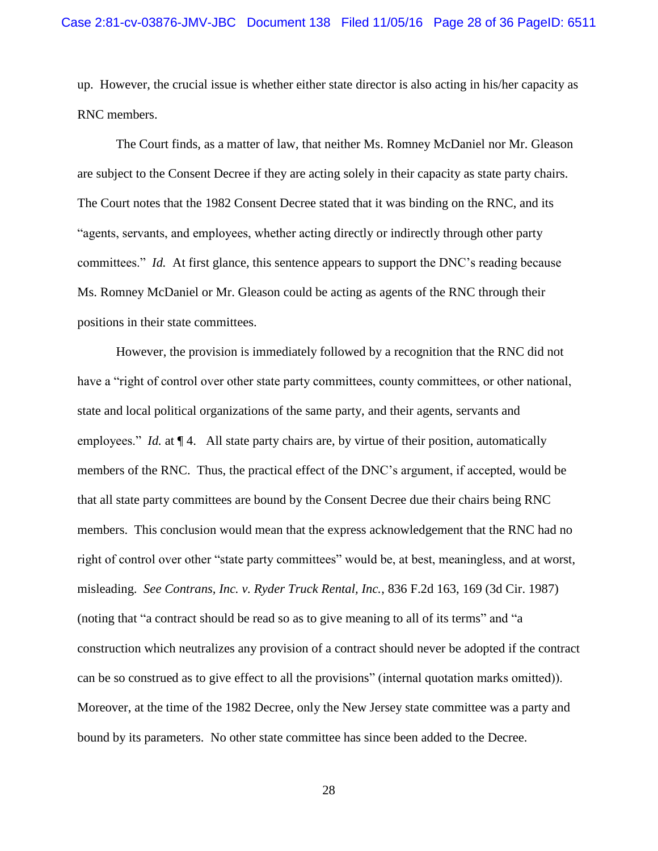up. However, the crucial issue is whether either state director is also acting in his/her capacity as RNC members.

The Court finds, as a matter of law, that neither Ms. Romney McDaniel nor Mr. Gleason are subject to the Consent Decree if they are acting solely in their capacity as state party chairs. The Court notes that the 1982 Consent Decree stated that it was binding on the RNC, and its "agents, servants, and employees, whether acting directly or indirectly through other party committees." *Id.* At first glance, this sentence appears to support the DNC's reading because Ms. Romney McDaniel or Mr. Gleason could be acting as agents of the RNC through their positions in their state committees.

However, the provision is immediately followed by a recognition that the RNC did not have a "right of control over other state party committees, county committees, or other national, state and local political organizations of the same party, and their agents, servants and employees." *Id.* at  $\P$  4. All state party chairs are, by virtue of their position, automatically members of the RNC. Thus, the practical effect of the DNC's argument, if accepted, would be that all state party committees are bound by the Consent Decree due their chairs being RNC members. This conclusion would mean that the express acknowledgement that the RNC had no right of control over other "state party committees" would be, at best, meaningless, and at worst, misleading. *See Contrans, Inc. v. Ryder Truck Rental, Inc.*, 836 F.2d 163, 169 (3d Cir. 1987) (noting that "a contract should be read so as to give meaning to all of its terms" and "a construction which neutralizes any provision of a contract should never be adopted if the contract can be so construed as to give effect to all the provisions" (internal quotation marks omitted)). Moreover, at the time of the 1982 Decree, only the New Jersey state committee was a party and bound by its parameters. No other state committee has since been added to the Decree.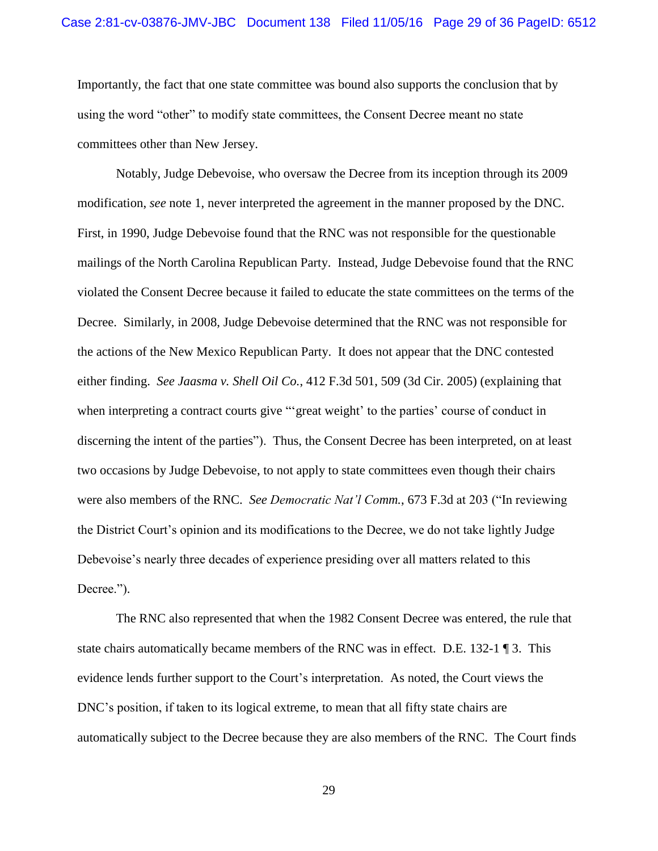#### Case 2:81-cv-03876-JMV-JBC Document 138 Filed 11/05/16 Page 29 of 36 PageID: 6512

Importantly, the fact that one state committee was bound also supports the conclusion that by using the word "other" to modify state committees, the Consent Decree meant no state committees other than New Jersey.

Notably, Judge Debevoise, who oversaw the Decree from its inception through its 2009 modification, *see* note 1, never interpreted the agreement in the manner proposed by the DNC. First, in 1990, Judge Debevoise found that the RNC was not responsible for the questionable mailings of the North Carolina Republican Party. Instead, Judge Debevoise found that the RNC violated the Consent Decree because it failed to educate the state committees on the terms of the Decree. Similarly, in 2008, Judge Debevoise determined that the RNC was not responsible for the actions of the New Mexico Republican Party. It does not appear that the DNC contested either finding. *See Jaasma v. Shell Oil Co.*, 412 F.3d 501, 509 (3d Cir. 2005) (explaining that when interpreting a contract courts give ""great weight' to the parties' course of conduct in discerning the intent of the parties"). Thus, the Consent Decree has been interpreted, on at least two occasions by Judge Debevoise, to not apply to state committees even though their chairs were also members of the RNC. *See Democratic Nat'l Comm.*, 673 F.3d at 203 ("In reviewing the District Court's opinion and its modifications to the Decree, we do not take lightly Judge Debevoise's nearly three decades of experience presiding over all matters related to this Decree.").

The RNC also represented that when the 1982 Consent Decree was entered, the rule that state chairs automatically became members of the RNC was in effect. D.E. 132-1 ¶ 3. This evidence lends further support to the Court's interpretation. As noted, the Court views the DNC's position, if taken to its logical extreme, to mean that all fifty state chairs are automatically subject to the Decree because they are also members of the RNC. The Court finds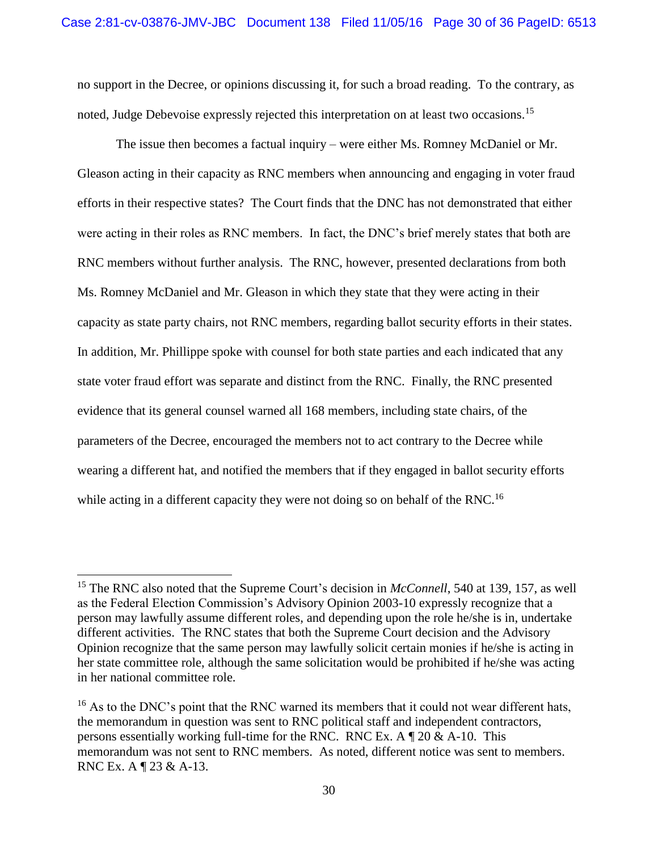no support in the Decree, or opinions discussing it, for such a broad reading. To the contrary, as noted, Judge Debevoise expressly rejected this interpretation on at least two occasions.<sup>15</sup>

The issue then becomes a factual inquiry – were either Ms. Romney McDaniel or Mr. Gleason acting in their capacity as RNC members when announcing and engaging in voter fraud efforts in their respective states? The Court finds that the DNC has not demonstrated that either were acting in their roles as RNC members. In fact, the DNC's brief merely states that both are RNC members without further analysis. The RNC, however, presented declarations from both Ms. Romney McDaniel and Mr. Gleason in which they state that they were acting in their capacity as state party chairs, not RNC members, regarding ballot security efforts in their states. In addition, Mr. Phillippe spoke with counsel for both state parties and each indicated that any state voter fraud effort was separate and distinct from the RNC. Finally, the RNC presented evidence that its general counsel warned all 168 members, including state chairs, of the parameters of the Decree, encouraged the members not to act contrary to the Decree while wearing a different hat, and notified the members that if they engaged in ballot security efforts while acting in a different capacity they were not doing so on behalf of the RNC.<sup>16</sup>

<sup>&</sup>lt;sup>15</sup> The RNC also noted that the Supreme Court's decision in *McConnell*, 540 at 139, 157, as well as the Federal Election Commission's Advisory Opinion 2003-10 expressly recognize that a person may lawfully assume different roles, and depending upon the role he/she is in, undertake different activities. The RNC states that both the Supreme Court decision and the Advisory Opinion recognize that the same person may lawfully solicit certain monies if he/she is acting in her state committee role, although the same solicitation would be prohibited if he/she was acting in her national committee role.

<sup>&</sup>lt;sup>16</sup> As to the DNC's point that the RNC warned its members that it could not wear different hats, the memorandum in question was sent to RNC political staff and independent contractors, persons essentially working full-time for the RNC. RNC Ex. A  $\parallel$  20 & A-10. This memorandum was not sent to RNC members. As noted, different notice was sent to members. RNC Ex. A ¶ 23 & A-13.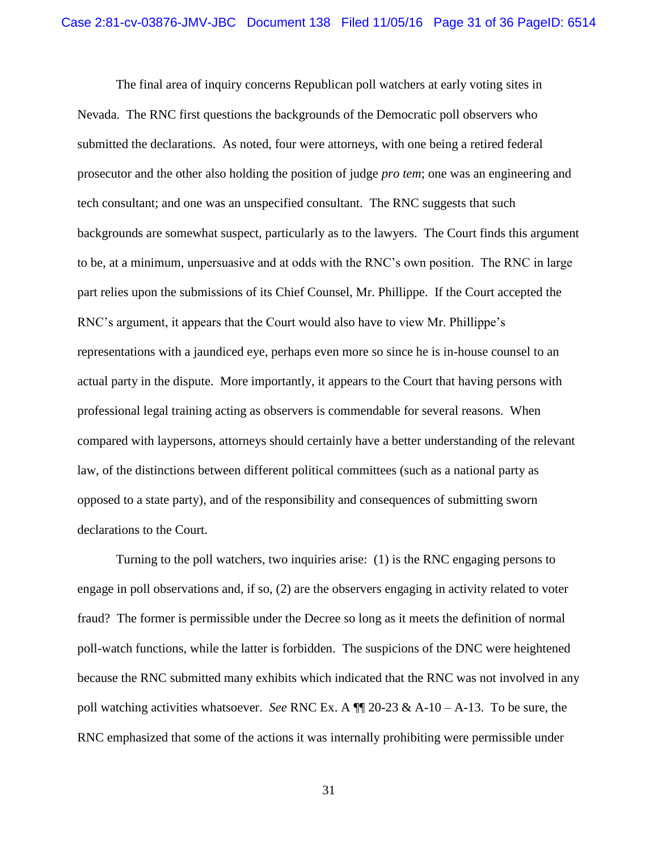The final area of inquiry concerns Republican poll watchers at early voting sites in Nevada. The RNC first questions the backgrounds of the Democratic poll observers who submitted the declarations. As noted, four were attorneys, with one being a retired federal prosecutor and the other also holding the position of judge *pro tem*; one was an engineering and tech consultant; and one was an unspecified consultant. The RNC suggests that such backgrounds are somewhat suspect, particularly as to the lawyers. The Court finds this argument to be, at a minimum, unpersuasive and at odds with the RNC's own position. The RNC in large part relies upon the submissions of its Chief Counsel, Mr. Phillippe. If the Court accepted the RNC's argument, it appears that the Court would also have to view Mr. Phillippe's representations with a jaundiced eye, perhaps even more so since he is in-house counsel to an actual party in the dispute. More importantly, it appears to the Court that having persons with professional legal training acting as observers is commendable for several reasons. When compared with laypersons, attorneys should certainly have a better understanding of the relevant law, of the distinctions between different political committees (such as a national party as opposed to a state party), and of the responsibility and consequences of submitting sworn declarations to the Court.

Turning to the poll watchers, two inquiries arise: (1) is the RNC engaging persons to engage in poll observations and, if so, (2) are the observers engaging in activity related to voter fraud? The former is permissible under the Decree so long as it meets the definition of normal poll-watch functions, while the latter is forbidden. The suspicions of the DNC were heightened because the RNC submitted many exhibits which indicated that the RNC was not involved in any poll watching activities whatsoever. *See* RNC Ex. A ¶¶ 20-23 & A-10 – A-13. To be sure, the RNC emphasized that some of the actions it was internally prohibiting were permissible under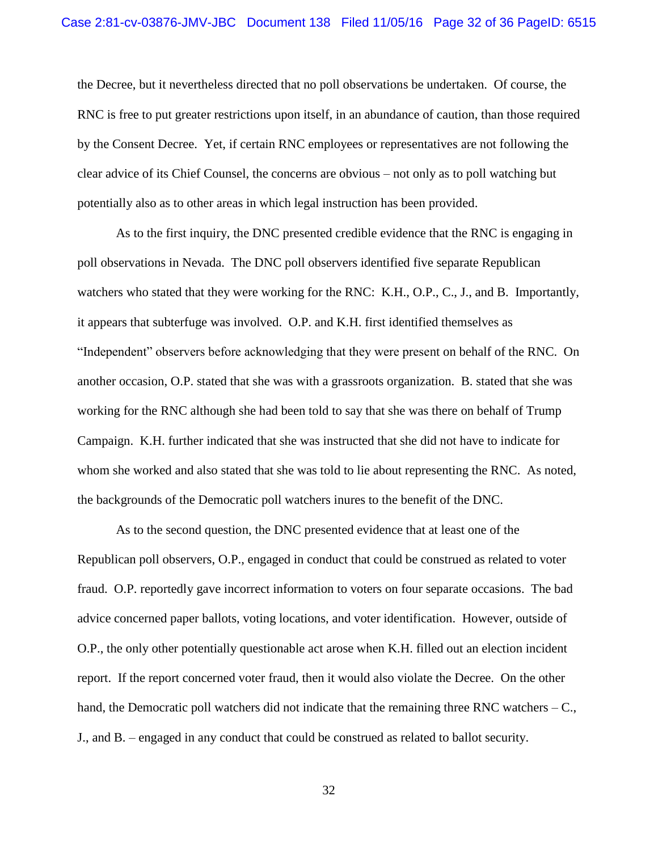the Decree, but it nevertheless directed that no poll observations be undertaken. Of course, the RNC is free to put greater restrictions upon itself, in an abundance of caution, than those required by the Consent Decree. Yet, if certain RNC employees or representatives are not following the clear advice of its Chief Counsel, the concerns are obvious – not only as to poll watching but potentially also as to other areas in which legal instruction has been provided.

As to the first inquiry, the DNC presented credible evidence that the RNC is engaging in poll observations in Nevada. The DNC poll observers identified five separate Republican watchers who stated that they were working for the RNC: K.H., O.P., C., J., and B. Importantly, it appears that subterfuge was involved. O.P. and K.H. first identified themselves as "Independent" observers before acknowledging that they were present on behalf of the RNC. On another occasion, O.P. stated that she was with a grassroots organization. B. stated that she was working for the RNC although she had been told to say that she was there on behalf of Trump Campaign. K.H. further indicated that she was instructed that she did not have to indicate for whom she worked and also stated that she was told to lie about representing the RNC. As noted, the backgrounds of the Democratic poll watchers inures to the benefit of the DNC.

As to the second question, the DNC presented evidence that at least one of the Republican poll observers, O.P., engaged in conduct that could be construed as related to voter fraud. O.P. reportedly gave incorrect information to voters on four separate occasions. The bad advice concerned paper ballots, voting locations, and voter identification. However, outside of O.P., the only other potentially questionable act arose when K.H. filled out an election incident report. If the report concerned voter fraud, then it would also violate the Decree. On the other hand, the Democratic poll watchers did not indicate that the remaining three RNC watchers – C., J., and B. – engaged in any conduct that could be construed as related to ballot security.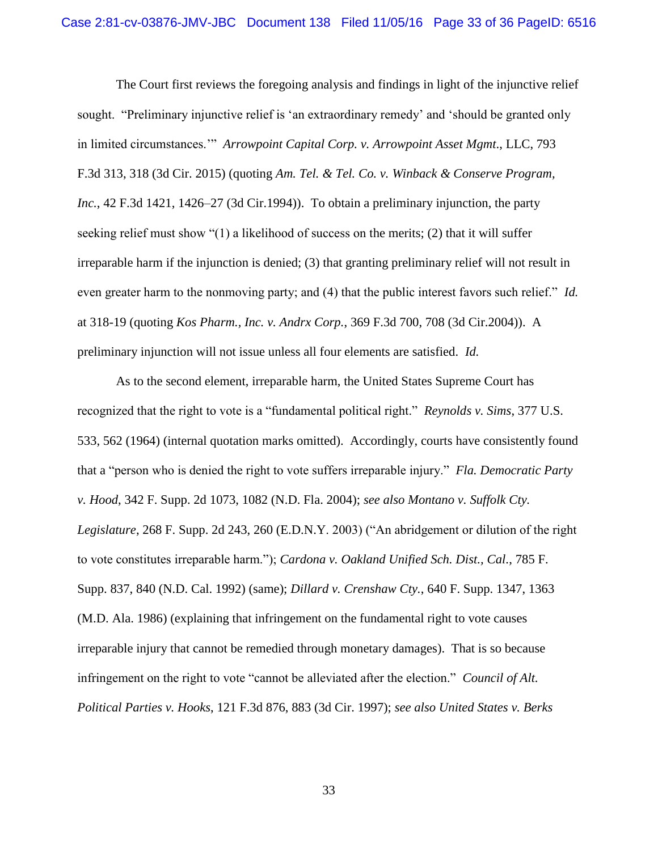The Court first reviews the foregoing analysis and findings in light of the injunctive relief sought. "Preliminary injunctive relief is 'an extraordinary remedy' and 'should be granted only in limited circumstances.'" *Arrowpoint Capital Corp. v. Arrowpoint Asset Mgmt*., LLC, 793 F.3d 313, 318 (3d Cir. 2015) (quoting *Am. Tel. & Tel. Co. v. Winback & Conserve Program, Inc.*, 42 F.3d 1421, 1426–27 (3d Cir.1994)). To obtain a preliminary injunction, the party seeking relief must show "(1) a likelihood of success on the merits; (2) that it will suffer irreparable harm if the injunction is denied; (3) that granting preliminary relief will not result in even greater harm to the nonmoving party; and (4) that the public interest favors such relief." *Id.* at 318-19 (quoting *Kos Pharm., Inc. v. Andrx Corp.*, 369 F.3d 700, 708 (3d Cir.2004)). A preliminary injunction will not issue unless all four elements are satisfied. *Id.*

As to the second element, irreparable harm, the United States Supreme Court has recognized that the right to vote is a "fundamental political right." *Reynolds v. Sims*, 377 U.S. 533, 562 (1964) (internal quotation marks omitted). Accordingly, courts have consistently found that a "person who is denied the right to vote suffers irreparable injury." *Fla. Democratic Party v. Hood*, 342 F. Supp. 2d 1073, 1082 (N.D. Fla. 2004); *see also Montano v. Suffolk Cty. Legislature*, 268 F. Supp. 2d 243, 260 (E.D.N.Y. 2003) ("An abridgement or dilution of the right to vote constitutes irreparable harm."); *Cardona v. Oakland Unified Sch. Dist., Cal.*, 785 F. Supp. 837, 840 (N.D. Cal. 1992) (same); *Dillard v. Crenshaw Cty.*, 640 F. Supp. 1347, 1363 (M.D. Ala. 1986) (explaining that infringement on the fundamental right to vote causes irreparable injury that cannot be remedied through monetary damages). That is so because infringement on the right to vote "cannot be alleviated after the election." *Council of Alt. Political Parties v. Hooks*, 121 F.3d 876, 883 (3d Cir. 1997); *see also United States v. Berks*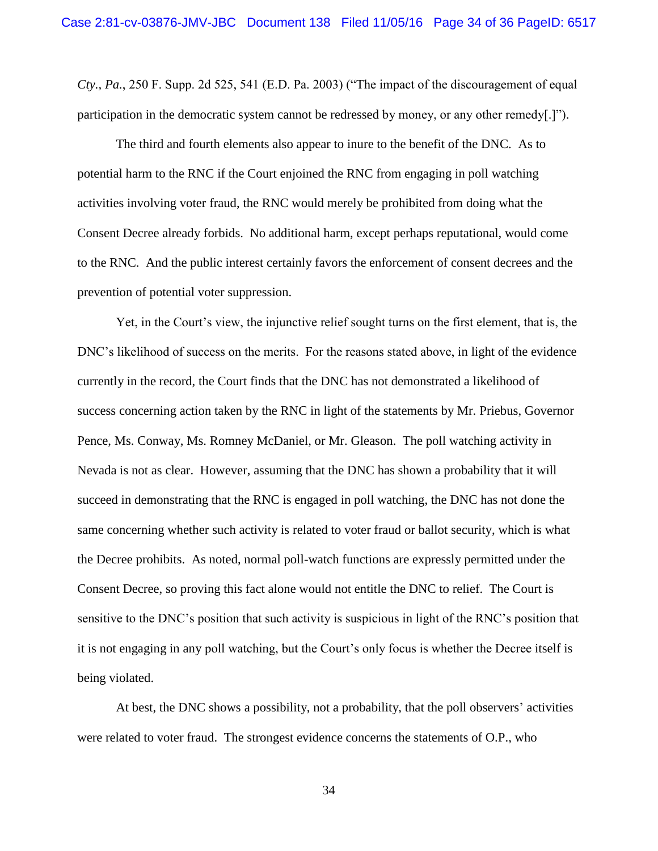*Cty., Pa.*, 250 F. Supp. 2d 525, 541 (E.D. Pa. 2003) ("The impact of the discouragement of equal participation in the democratic system cannot be redressed by money, or any other remedy[.]").

The third and fourth elements also appear to inure to the benefit of the DNC. As to potential harm to the RNC if the Court enjoined the RNC from engaging in poll watching activities involving voter fraud, the RNC would merely be prohibited from doing what the Consent Decree already forbids. No additional harm, except perhaps reputational, would come to the RNC. And the public interest certainly favors the enforcement of consent decrees and the prevention of potential voter suppression.

Yet, in the Court's view, the injunctive relief sought turns on the first element, that is, the DNC's likelihood of success on the merits. For the reasons stated above, in light of the evidence currently in the record, the Court finds that the DNC has not demonstrated a likelihood of success concerning action taken by the RNC in light of the statements by Mr. Priebus, Governor Pence, Ms. Conway, Ms. Romney McDaniel, or Mr. Gleason. The poll watching activity in Nevada is not as clear. However, assuming that the DNC has shown a probability that it will succeed in demonstrating that the RNC is engaged in poll watching, the DNC has not done the same concerning whether such activity is related to voter fraud or ballot security, which is what the Decree prohibits. As noted, normal poll-watch functions are expressly permitted under the Consent Decree, so proving this fact alone would not entitle the DNC to relief. The Court is sensitive to the DNC's position that such activity is suspicious in light of the RNC's position that it is not engaging in any poll watching, but the Court's only focus is whether the Decree itself is being violated.

At best, the DNC shows a possibility, not a probability, that the poll observers' activities were related to voter fraud. The strongest evidence concerns the statements of O.P., who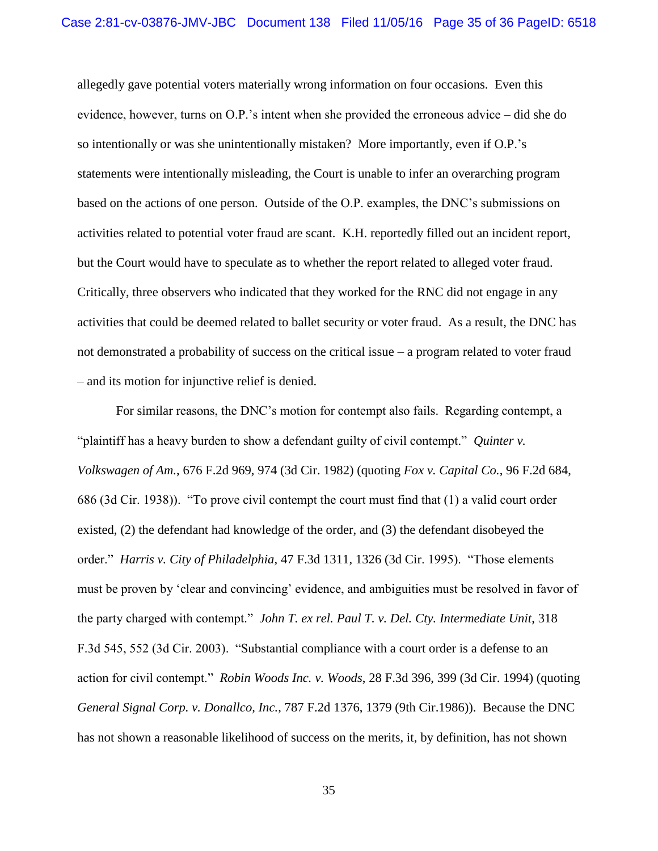allegedly gave potential voters materially wrong information on four occasions. Even this evidence, however, turns on O.P.'s intent when she provided the erroneous advice – did she do so intentionally or was she unintentionally mistaken? More importantly, even if O.P.'s statements were intentionally misleading, the Court is unable to infer an overarching program based on the actions of one person. Outside of the O.P. examples, the DNC's submissions on activities related to potential voter fraud are scant. K.H. reportedly filled out an incident report, but the Court would have to speculate as to whether the report related to alleged voter fraud. Critically, three observers who indicated that they worked for the RNC did not engage in any activities that could be deemed related to ballet security or voter fraud. As a result, the DNC has not demonstrated a probability of success on the critical issue – a program related to voter fraud – and its motion for injunctive relief is denied.

For similar reasons, the DNC's motion for contempt also fails. Regarding contempt, a "plaintiff has a heavy burden to show a defendant guilty of civil contempt." *Quinter v. Volkswagen of Am.*, 676 F.2d 969, 974 (3d Cir. 1982) (quoting *Fox v. Capital Co.*, 96 F.2d 684, 686 (3d Cir. 1938)). "To prove civil contempt the court must find that (1) a valid court order existed, (2) the defendant had knowledge of the order, and (3) the defendant disobeyed the order." *Harris v. City of Philadelphia*, 47 F.3d 1311, 1326 (3d Cir. 1995). "Those elements must be proven by 'clear and convincing' evidence, and ambiguities must be resolved in favor of the party charged with contempt." *John T. ex rel. Paul T. v. Del. Cty. Intermediate Unit*, 318 F.3d 545, 552 (3d Cir. 2003). "Substantial compliance with a court order is a defense to an action for civil contempt." *Robin Woods Inc. v. Woods*, 28 F.3d 396, 399 (3d Cir. 1994) (quoting *General Signal Corp. v. Donallco, Inc.*, 787 F.2d 1376, 1379 (9th Cir.1986)). Because the DNC has not shown a reasonable likelihood of success on the merits, it, by definition, has not shown